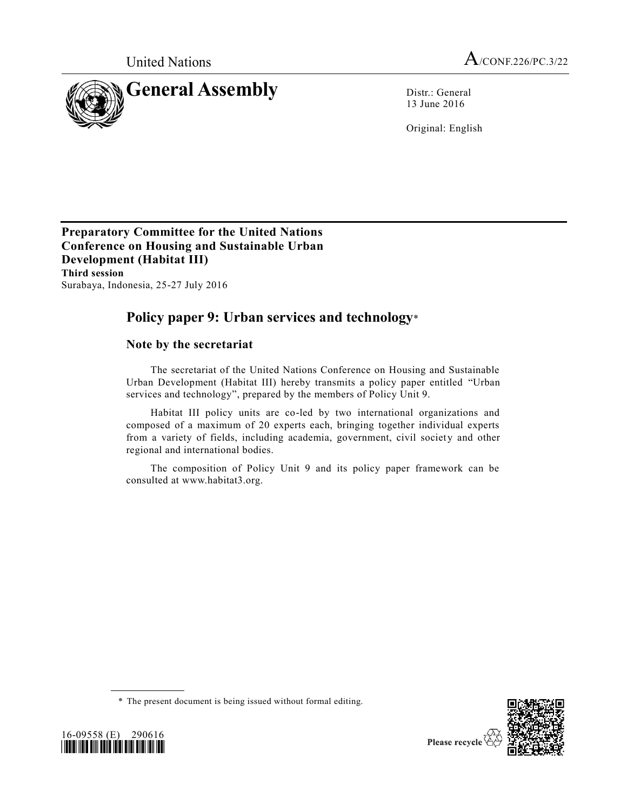

13 June 2016

Original: English

**Preparatory Committee for the United Nations Conference on Housing and Sustainable Urban Development (Habitat III) Third session** Surabaya, Indonesia, 25-27 July 2016

# **Policy paper 9: Urban services and technology**\*

# **Note by the secretariat**

The secretariat of the United Nations Conference on Housing and Sustainable Urban Development (Habitat III) hereby transmits a policy paper entitled "Urban services and technology", prepared by the members of Policy Unit 9.

Habitat III policy units are co-led by two international organizations and composed of a maximum of 20 experts each, bringing together individual experts from a variety of fields, including academia, government, civil society and other regional and international bodies.

The composition of Policy Unit 9 and its policy paper framework can be consulted at www.habitat3.org.





<sup>\*</sup> The present document is being issued without formal editing.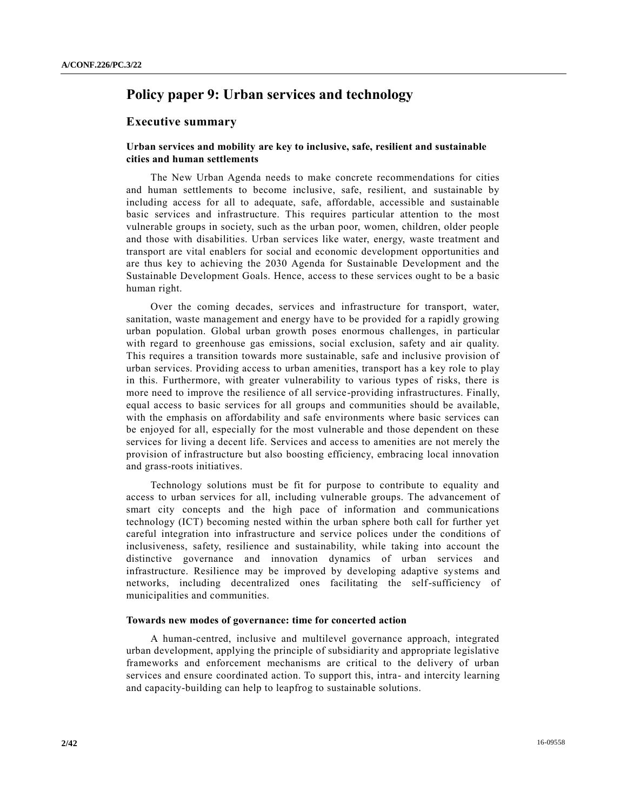# **Policy paper 9: Urban services and technology**

## **Executive summary**

## **Urban services and mobility are key to inclusive, safe, resilient and sustainable cities and human settlements**

The New Urban Agenda needs to make concrete recommendations for cities and human settlements to become inclusive, safe, resilient, and sustainable by including access for all to adequate, safe, affordable, accessible and sustainable basic services and infrastructure. This requires particular attention to the most vulnerable groups in society, such as the urban poor, women, children, older people and those with disabilities. Urban services like water, energy, waste treatment and transport are vital enablers for social and economic development opportunities and are thus key to achieving the 2030 Agenda for Sustainable Development and the Sustainable Development Goals. Hence, access to these services ought to be a basic human right.

Over the coming decades, services and infrastructure for transport, water, sanitation, waste management and energy have to be provided for a rapidly growing urban population. Global urban growth poses enormous challenges, in particular with regard to greenhouse gas emissions, social exclusion, safety and air quality. This requires a transition towards more sustainable, safe and inclusive provision of urban services. Providing access to urban amenities, transport has a key role to play in this. Furthermore, with greater vulnerability to various types of risks, there is more need to improve the resilience of all service-providing infrastructures. Finally, equal access to basic services for all groups and communities should be available, with the emphasis on affordability and safe environments where basic services can be enjoyed for all, especially for the most vulnerable and those dependent on these services for living a decent life. Services and access to amenities are not merely the provision of infrastructure but also boosting efficiency, embracing local innovation and grass-roots initiatives.

Technology solutions must be fit for purpose to contribute to equality and access to urban services for all, including vulnerable groups. The advancement of smart city concepts and the high pace of information and communications technology (ICT) becoming nested within the urban sphere both call for further yet careful integration into infrastructure and service polices under the conditions of inclusiveness, safety, resilience and sustainability, while taking into account the distinctive governance and innovation dynamics of urban services and infrastructure. Resilience may be improved by developing adaptive systems and networks, including decentralized ones facilitating the self-sufficiency of municipalities and communities.

#### **Towards new modes of governance: time for concerted action**

A human-centred, inclusive and multilevel governance approach, integrated urban development, applying the principle of subsidiarity and appropriate legislative frameworks and enforcement mechanisms are critical to the delivery of urban services and ensure coordinated action. To support this, intra- and intercity learning and capacity-building can help to leapfrog to sustainable solutions.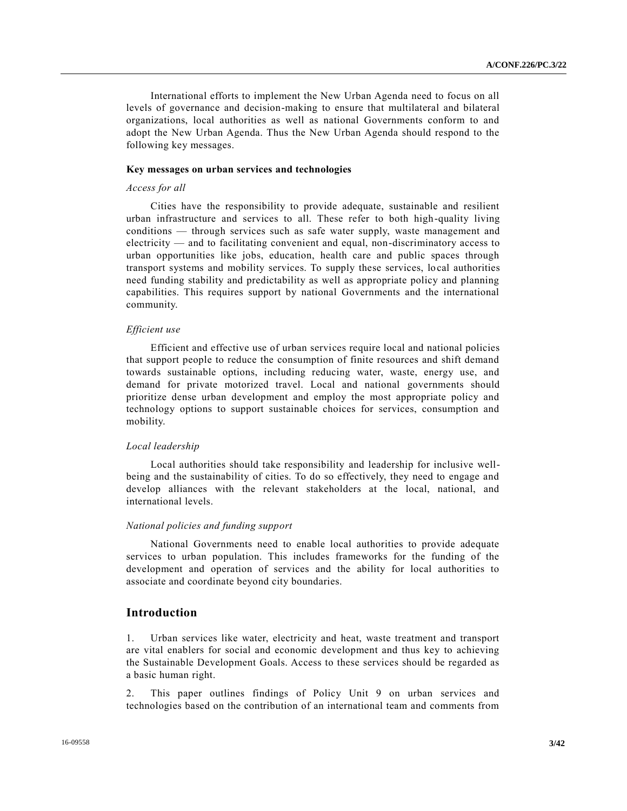International efforts to implement the New Urban Agenda need to focus on all levels of governance and decision-making to ensure that multilateral and bilateral organizations, local authorities as well as national Governments conform to and adopt the New Urban Agenda. Thus the New Urban Agenda should respond to the following key messages.

#### **Key messages on urban services and technologies**

#### *Access for all*

Cities have the responsibility to provide adequate, sustainable and resilient urban infrastructure and services to all. These refer to both high-quality living conditions — through services such as safe water supply, waste management and electricity — and to facilitating convenient and equal, non-discriminatory access to urban opportunities like jobs, education, health care and public spaces through transport systems and mobility services. To supply these services, local authorities need funding stability and predictability as well as appropriate policy and planning capabilities. This requires support by national Governments and the international community.

#### *Efficient use*

Efficient and effective use of urban services require local and national policies that support people to reduce the consumption of finite resources and shift demand towards sustainable options, including reducing water, waste, energy use, and demand for private motorized travel. Local and national governments should prioritize dense urban development and employ the most appropriate policy and technology options to support sustainable choices for services, consumption and mobility.

## *Local leadership*

Local authorities should take responsibility and leadership for inclusive wellbeing and the sustainability of cities. To do so effectively, they need to engage and develop alliances with the relevant stakeholders at the local, national, and international levels.

## *National policies and funding support*

National Governments need to enable local authorities to provide adequate services to urban population. This includes frameworks for the funding of the development and operation of services and the ability for local authorities to associate and coordinate beyond city boundaries.

## **Introduction**

1. Urban services like water, electricity and heat, waste treatment and transport are vital enablers for social and economic development and thus key to achieving the Sustainable Development Goals. Access to these services should be regarded as a basic human right.

2. This paper outlines findings of Policy Unit 9 on urban services and technologies based on the contribution of an international team and comments from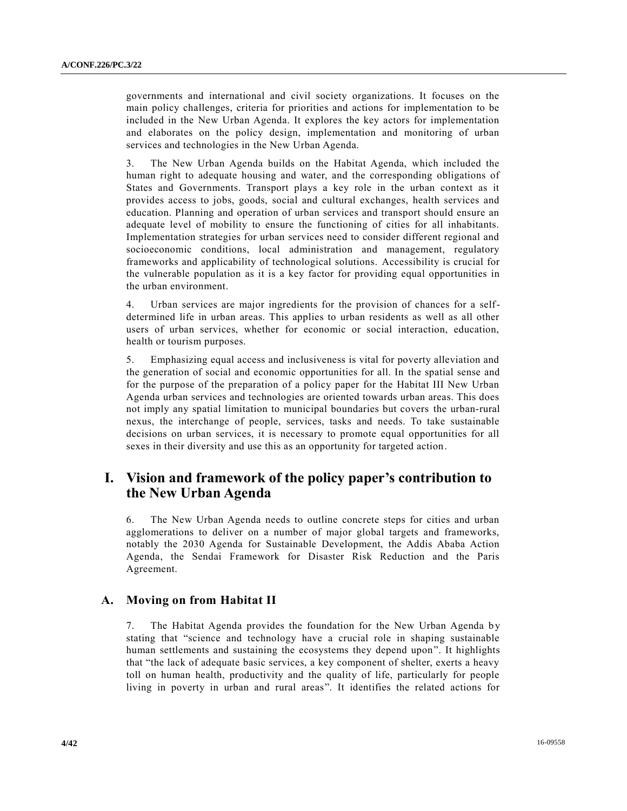governments and international and civil society organizations. It focuses on the main policy challenges, criteria for priorities and actions for implementation to be included in the New Urban Agenda. It explores the key actors for implementation and elaborates on the policy design, implementation and monitoring of urban services and technologies in the New Urban Agenda.

3. The New Urban Agenda builds on the Habitat Agenda, which included the human right to adequate housing and water, and the corresponding obligations of States and Governments. Transport plays a key role in the urban context as it provides access to jobs, goods, social and cultural exchanges, health services and education. Planning and operation of urban services and transport should ensure an adequate level of mobility to ensure the functioning of cities for all inhabitants. Implementation strategies for urban services need to consider different regional and socioeconomic conditions, local administration and management, regulatory frameworks and applicability of technological solutions. Accessibility is crucial for the vulnerable population as it is a key factor for providing equal opportunities in the urban environment.

4. Urban services are major ingredients for the provision of chances for a selfdetermined life in urban areas. This applies to urban residents as well as all other users of urban services, whether for economic or social interaction, education, health or tourism purposes.

5. Emphasizing equal access and inclusiveness is vital for poverty alleviation and the generation of social and economic opportunities for all. In the spatial sense and for the purpose of the preparation of a policy paper for the Habitat III New Urban Agenda urban services and technologies are oriented towards urban areas. This does not imply any spatial limitation to municipal boundaries but covers the urban-rural nexus, the interchange of people, services, tasks and needs. To take sustainable decisions on urban services, it is necessary to promote equal opportunities for all sexes in their diversity and use this as an opportunity for targeted action.

# **I. Vision and framework of the policy paper's contribution to the New Urban Agenda**

6. The New Urban Agenda needs to outline concrete steps for cities and urban agglomerations to deliver on a number of major global targets and frameworks, notably the 2030 Agenda for Sustainable Development, the Addis Ababa Action Agenda, the Sendai Framework for Disaster Risk Reduction and the Paris Agreement.

# **A. Moving on from Habitat II**

7. The Habitat Agenda provides the foundation for the New Urban Agenda by stating that "science and technology have a crucial role in shaping sustainable human settlements and sustaining the ecosystems they depend upon". It highlights that "the lack of adequate basic services, a key component of shelter, exerts a heavy toll on human health, productivity and the quality of life, particularly for people living in poverty in urban and rural areas". It identifies the related actions for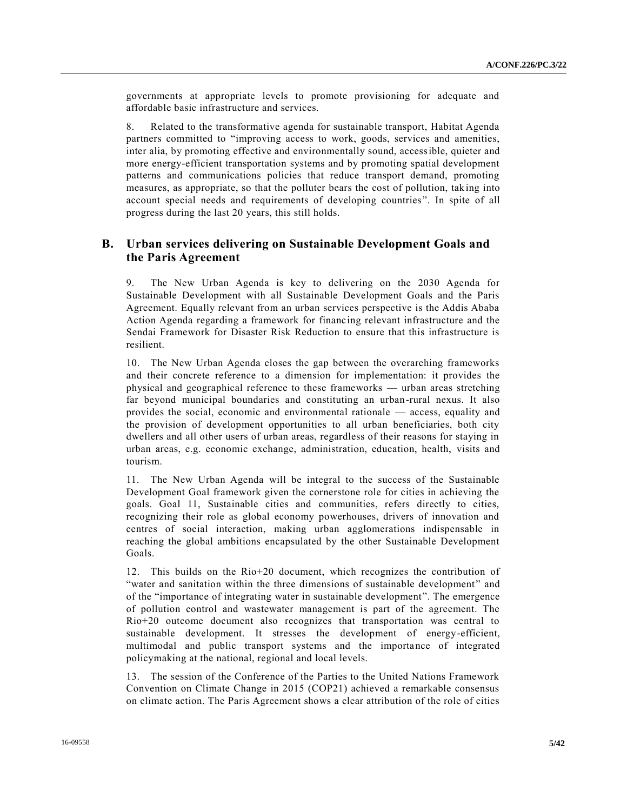governments at appropriate levels to promote provisioning for adequate and affordable basic infrastructure and services.

8. Related to the transformative agenda for sustainable transport, Habitat Agenda partners committed to "improving access to work, goods, services and amenities, inter alia, by promoting effective and environmentally sound, accessible, quieter and more energy-efficient transportation systems and by promoting spatial development patterns and communications policies that reduce transport demand, promoting measures, as appropriate, so that the polluter bears the cost of pollution, taking into account special needs and requirements of developing countries". In spite of all progress during the last 20 years, this still holds.

# **B. Urban services delivering on Sustainable Development Goals and the Paris Agreement**

9. The New Urban Agenda is key to delivering on the 2030 Agenda for Sustainable Development with all Sustainable Development Goals and the Paris Agreement. Equally relevant from an urban services perspective is the Addis Ababa Action Agenda regarding a framework for financing relevant infrastructure and the Sendai Framework for Disaster Risk Reduction to ensure that this infrastructure is resilient.

10. The New Urban Agenda closes the gap between the overarching frameworks and their concrete reference to a dimension for implementation: it provides the physical and geographical reference to these frameworks — urban areas stretching far beyond municipal boundaries and constituting an urban-rural nexus. It also provides the social, economic and environmental rationale — access, equality and the provision of development opportunities to all urban beneficiaries, both city dwellers and all other users of urban areas, regardless of their reasons for staying in urban areas, e.g. economic exchange, administration, education, health, visits and tourism.

11. The New Urban Agenda will be integral to the success of the Sustainable Development Goal framework given the cornerstone role for cities in achieving the goals. Goal 11, Sustainable cities and communities, refers directly to cities, recognizing their role as global economy powerhouses, drivers of innovation and centres of social interaction, making urban agglomerations indispensable in reaching the global ambitions encapsulated by the other Sustainable Development Goals.

12. This builds on the Rio+20 document, which recognizes the contribution of "water and sanitation within the three dimensions of sustainable development " and of the "importance of integrating water in sustainable development". The emergence of pollution control and wastewater management is part of the agreement. The Rio+20 outcome document also recognizes that transportation was central to sustainable development. It stresses the development of energy-efficient, multimodal and public transport systems and the importance of integrated policymaking at the national, regional and local levels.

13. The session of the Conference of the Parties to the United Nations Framework Convention on Climate Change in 2015 (COP21) achieved a remarkable consensus on climate action. The Paris Agreement shows a clear attribution of the role of cities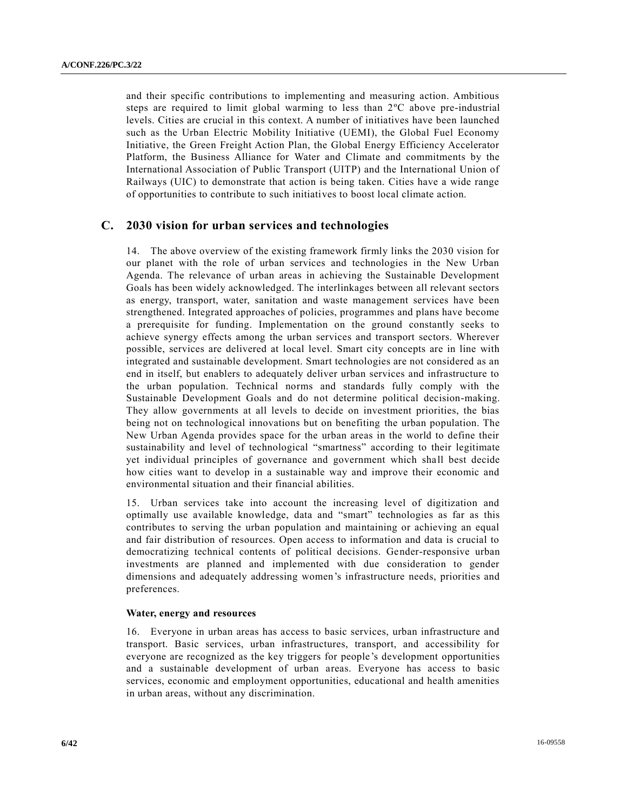and their specific contributions to implementing and measuring action. Ambitious steps are required to limit global warming to less than 2ºC above pre-industrial levels. Cities are crucial in this context. A number of initiatives have been launched such as the Urban Electric Mobility Initiative (UEMI), the Global Fuel Economy Initiative, the Green Freight Action Plan, the Global Energy Efficiency Accelerator Platform, the Business Alliance for Water and Climate and commitments by the International Association of Public Transport (UITP) and the International Union of Railways (UIC) to demonstrate that action is being taken. Cities have a wide range of opportunities to contribute to such initiatives to boost local climate action.

## **C. 2030 vision for urban services and technologies**

14. The above overview of the existing framework firmly links the 2030 vision for our planet with the role of urban services and technologies in the New Urban Agenda. The relevance of urban areas in achieving the Sustainable Development Goals has been widely acknowledged. The interlinkages between all relevant sectors as energy, transport, water, sanitation and waste management services have been strengthened. Integrated approaches of policies, programmes and plans have become a prerequisite for funding. Implementation on the ground constantly seeks to achieve synergy effects among the urban services and transport sectors. Wherever possible, services are delivered at local level. Smart city concepts are in line with integrated and sustainable development. Smart technologies are not considered as an end in itself, but enablers to adequately deliver urban services and infrastructure to the urban population. Technical norms and standards fully comply with the Sustainable Development Goals and do not determine political decision-making. They allow governments at all levels to decide on investment priorities, the bias being not on technological innovations but on benefiting the urban population. The New Urban Agenda provides space for the urban areas in the world to define their sustainability and level of technological "smartness" according to their legitimate yet individual principles of governance and government which shall best decide how cities want to develop in a sustainable way and improve their economic and environmental situation and their financial abilities.

15. Urban services take into account the increasing level of digitization and optimally use available knowledge, data and "smart" technologies as far as this contributes to serving the urban population and maintaining or achieving an equal and fair distribution of resources. Open access to information and data is crucial to democratizing technical contents of political decisions. Gender-responsive urban investments are planned and implemented with due consideration to gender dimensions and adequately addressing women's infrastructure needs, priorities and preferences.

## **Water, energy and resources**

16. Everyone in urban areas has access to basic services, urban infrastructure and transport. Basic services, urban infrastructures, transport, and accessibility for everyone are recognized as the key triggers for people's development opportunities and a sustainable development of urban areas. Everyone has access to basic services, economic and employment opportunities, educational and health amenities in urban areas, without any discrimination.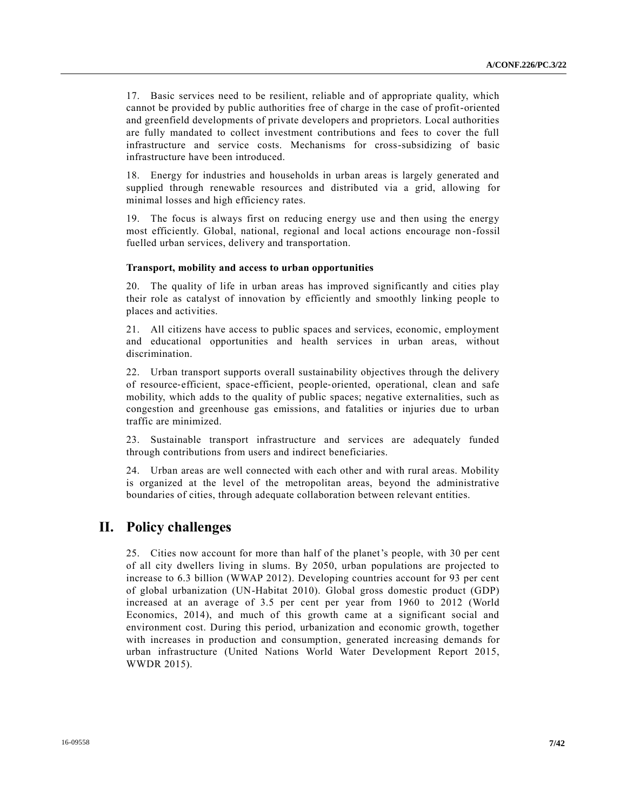17. Basic services need to be resilient, reliable and of appropriate quality, which cannot be provided by public authorities free of charge in the case of profit-oriented and greenfield developments of private developers and proprietors. Local authorities are fully mandated to collect investment contributions and fees to cover the full infrastructure and service costs. Mechanisms for cross-subsidizing of basic infrastructure have been introduced.

18. Energy for industries and households in urban areas is largely generated and supplied through renewable resources and distributed via a grid, allowing for minimal losses and high efficiency rates.

19. The focus is always first on reducing energy use and then using the energy most efficiently. Global, national, regional and local actions encourage non -fossil fuelled urban services, delivery and transportation.

### **Transport, mobility and access to urban opportunities**

20. The quality of life in urban areas has improved significantly and cities play their role as catalyst of innovation by efficiently and smoothly linking people to places and activities.

21. All citizens have access to public spaces and services, economic, employment and educational opportunities and health services in urban areas, without discrimination.

22. Urban transport supports overall sustainability objectives through the delivery of resource‐efficient, space-efficient, people‐oriented, operational, clean and safe mobility, which adds to the quality of public spaces; negative externalities, such as congestion and greenhouse gas emissions, and fatalities or injuries due to urban traffic are minimized.

23. Sustainable transport infrastructure and services are adequately funded through contributions from users and indirect beneficiaries.

24. Urban areas are well connected with each other and with rural areas. Mobility is organized at the level of the metropolitan areas, beyond the administrative boundaries of cities, through adequate collaboration between relevant entities.

# **II. Policy challenges**

25. Cities now account for more than half of the planet's people, with 30 per cent of all city dwellers living in slums. By 2050, urban populations are projected to increase to 6.3 billion (WWAP 2012). Developing countries account for 93 per cent of global urbanization (UN-Habitat 2010). Global gross domestic product (GDP) increased at an average of 3.5 per cent per year from 1960 to 2012 (World Economics, 2014), and much of this growth came at a significant social and environment cost. During this period, urbanization and economic growth, together with increases in production and consumption, generated increasing demands for urban infrastructure (United Nations World Water Development Report 2015, WWDR 2015).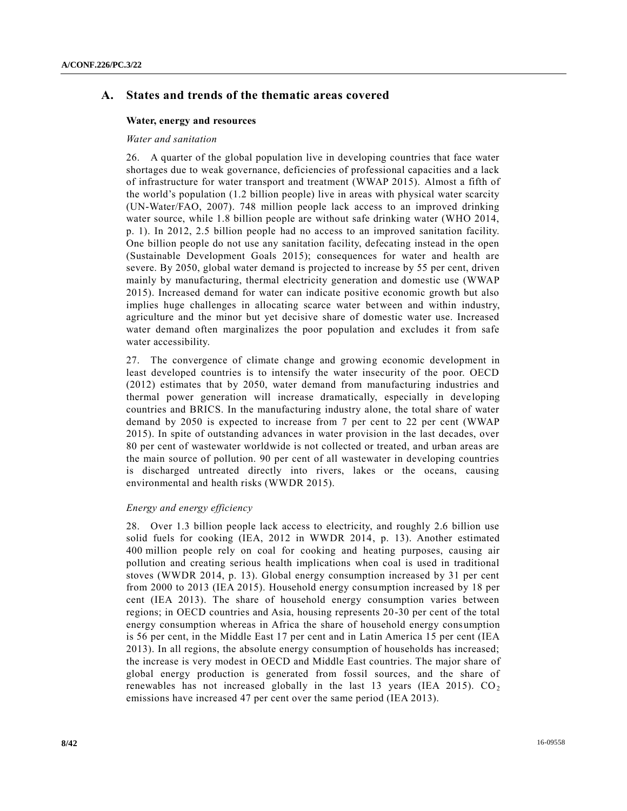## **A. States and trends of the thematic areas covered**

#### **Water, energy and resources**

#### *Water and sanitation*

26. A quarter of the global population live in developing countries that face water shortages due to weak governance, deficiencies of professional capacities and a lack of infrastructure for water transport and treatment (WWAP 2015). Almost a fifth of the world's population (1.2 billion people) live in areas with physical water scarcity (UN-Water/FAO, 2007). 748 million people lack access to an improved drinking water source, while 1.8 billion people are without safe drinking water (WHO 2014, p. 1). In 2012, 2.5 billion people had no access to an improved sanitation facility. One billion people do not use any sanitation facility, defecating instead in the open (Sustainable Development Goals 2015); consequences for water and health are severe. By 2050, global water demand is projected to increase by 55 per cent, driven mainly by manufacturing, thermal electricity generation and domestic use (WWAP 2015). Increased demand for water can indicate positive economic growth but also implies huge challenges in allocating scarce water between and within industry, agriculture and the minor but yet decisive share of domestic water use. Increased water demand often marginalizes the poor population and excludes it from safe water accessibility.

27. The convergence of climate change and growing economic development in least developed countries is to intensify the water insecurity of the poor. OECD (2012) estimates that by 2050, water demand from manufacturing industries and thermal power generation will increase dramatically, especially in deve loping countries and BRICS. In the manufacturing industry alone, the total share of water demand by 2050 is expected to increase from 7 per cent to 22 per cent (WWAP 2015). In spite of outstanding advances in water provision in the last decades, over 80 per cent of wastewater worldwide is not collected or treated, and urban areas are the main source of pollution. 90 per cent of all wastewater in developing countries is discharged untreated directly into rivers, lakes or the oceans, causing environmental and health risks (WWDR 2015).

### *Energy and energy efficiency*

28. Over 1.3 billion people lack access to electricity, and roughly 2.6 billion use solid fuels for cooking (IEA, 2012 in WWDR 2014, p. 13). Another estimated 400 million people rely on coal for cooking and heating purposes, causing air pollution and creating serious health implications when coal is used in traditional stoves (WWDR 2014, p. 13). Global energy consumption increased by 31 per cent from 2000 to 2013 (IEA 2015). Household energy consumption increased by 18 per cent (IEA 2013). The share of household energy consumption varies between regions; in OECD countries and Asia, housing represents 20-30 per cent of the total energy consumption whereas in Africa the share of household energy consumption is 56 per cent, in the Middle East 17 per cent and in Latin America 15 per cent (IEA 2013). In all regions, the absolute energy consumption of households has increased; the increase is very modest in OECD and Middle East countries. The major share of global energy production is generated from fossil sources, and the share of renewables has not increased globally in the last 13 years (IEA 2015).  $CO<sub>2</sub>$ emissions have increased 47 per cent over the same period (IEA 2013).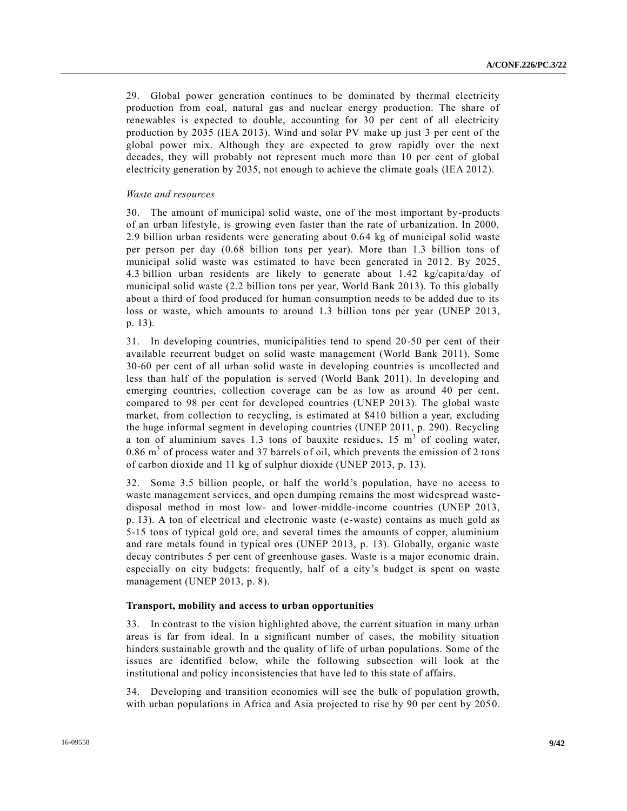29. Global power generation continues to be dominated by thermal electricity production from coal, natural gas and nuclear energy production. The share of renewables is expected to double, accounting for 30 per cent of all electricity production by 2035 (IEA 2013). Wind and solar PV make up just 3 per cent of the global power mix. Although they are expected to grow rapidly over the next decades, they will probably not represent much more than 10 per cent of global electricity generation by 2035, not enough to achieve the climate goals (IEA 2012).

#### *Waste and resources*

30. The amount of municipal solid waste, one of the most important by-products of an urban lifestyle, is growing even faster than the rate of urbanization. In 2000, 2.9 billion urban residents were generating about 0.64 kg of municipal solid waste per person per day (0.68 billion tons per year). More than 1.3 billion tons of municipal solid waste was estimated to have been generated in 2012. By 2025, 4.3 billion urban residents are likely to generate about 1.42 kg/capita/day of municipal solid waste (2.2 billion tons per year, World Bank 2013). To this globally about a third of food produced for human consumption needs to be added due to its loss or waste, which amounts to around 1.3 billion tons per year (UNEP 2013, p. 13).

31. In developing countries, municipalities tend to spend 20-50 per cent of their available recurrent budget on solid waste management (World Bank 2011). Some 30-60 per cent of all urban solid waste in developing countries is uncollected and less than half of the population is served (World Bank 2011). In developing and emerging countries, collection coverage can be as low as around 40 per cent, compared to 98 per cent for developed countries (UNEP 2013). The global waste market, from collection to recycling, is estimated at \$410 billion a year, excluding the huge informal segment in developing countries (UNEP 2011, p. 290). Recycling a ton of aluminium saves 1.3 tons of bauxite residues,  $15 \text{ m}^3$  of cooling water, 0.86  $\text{m}^3$  of process water and 37 barrels of oil, which prevents the emission of 2 tons of carbon dioxide and 11 kg of sulphur dioxide (UNEP 2013, p. 13).

32. Some 3.5 billion people, or half the world's population, have no access to waste management services, and open dumping remains the most widespread wastedisposal method in most low- and lower-middle-income countries (UNEP 2013, p. 13). A ton of electrical and electronic waste (e-waste) contains as much gold as 5-15 tons of typical gold ore, and several times the amounts of copper, aluminium and rare metals found in typical ores (UNEP 2013, p. 13). Globally, organic waste decay contributes 5 per cent of greenhouse gases. Waste is a major economic drain, especially on city budgets: frequently, half of a city's budget is spent on waste management (UNEP 2013, p. 8).

#### **Transport, mobility and access to urban opportunities**

33. In contrast to the vision highlighted above, the current situation in many urban areas is far from ideal. In a significant number of cases, the mobility situation hinders sustainable growth and the quality of life of urban populations. Some of the issues are identified below, while the following subsection will look at the institutional and policy inconsistencies that have led to this state of affairs.

34. Developing and transition economies will see the bulk of population growth, with urban populations in Africa and Asia projected to rise by 90 per cent by 2050.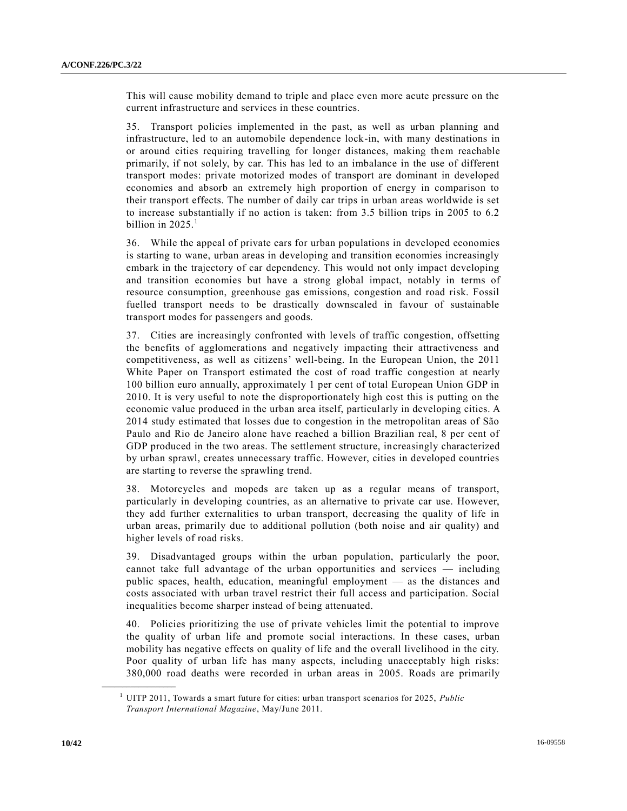This will cause mobility demand to triple and place even more acute pressure on the current infrastructure and services in these countries.

35. Transport policies implemented in the past, as well as urban planning and infrastructure, led to an automobile dependence lock-in, with many destinations in or around cities requiring travelling for longer distances, making them reachable primarily, if not solely, by car. This has led to an imbalance in the use of different transport modes: private motorized modes of transport are dominant in developed economies and absorb an extremely high proportion of energy in comparison to their transport effects. The number of daily car trips in urban areas worldwide is set to increase substantially if no action is taken: from 3.5 billion trips in 2005 to 6.2 billion in  $2025<sup>1</sup>$ 

36. While the appeal of private cars for urban populations in developed economies is starting to wane, urban areas in developing and transition economies increasingly embark in the trajectory of car dependency. This would not only impact developing and transition economies but have a strong global impact, notably in terms of resource consumption, greenhouse gas emissions, congestion and road risk. Fossil fuelled transport needs to be drastically downscaled in favour of sustainable transport modes for passengers and goods.

37. Cities are increasingly confronted with levels of traffic congestion, offsetting the benefits of agglomerations and negatively impacting their attractiveness and competitiveness, as well as citizens' well-being. In the European Union, the 2011 White Paper on Transport estimated the cost of road traffic congestion at nearly 100 billion euro annually, approximately 1 per cent of total European Union GDP in 2010. It is very useful to note the disproportionately high cost this is putting on the economic value produced in the urban area itself, particularly in developing cities. A 2014 study estimated that losses due to congestion in the metropolitan areas of São Paulo and Rio de Janeiro alone have reached a billion Brazilian real, 8 per cent of GDP produced in the two areas. The settlement structure, increasingly characterized by urban sprawl, creates unnecessary traffic. However, cities in developed countries are starting to reverse the sprawling trend.

38. Motorcycles and mopeds are taken up as a regular means of transport, particularly in developing countries, as an alternative to private car use. However, they add further externalities to urban transport, decreasing the quality of life in urban areas, primarily due to additional pollution (both noise and air quality) and higher levels of road risks.

39. Disadvantaged groups within the urban population, particularly the poor, cannot take full advantage of the urban opportunities and services — including public spaces, health, education, meaningful employment — as the distances and costs associated with urban travel restrict their full access and participation. Social inequalities become sharper instead of being attenuated.

40. Policies prioritizing the use of private vehicles limit the potential to improve the quality of urban life and promote social interactions. In these cases, urban mobility has negative effects on quality of life and the overall livelihood in the city. Poor quality of urban life has many aspects, including unacceptably high risks: 380,000 road deaths were recorded in urban areas in 2005. Roads are primarily

**\_\_\_\_\_\_\_\_\_\_\_\_\_\_\_\_\_\_**

<sup>1</sup> UITP 2011, Towards a smart future for cities: urban transport scenarios for 2025, *Public Transport International Magazine*, May/June 2011.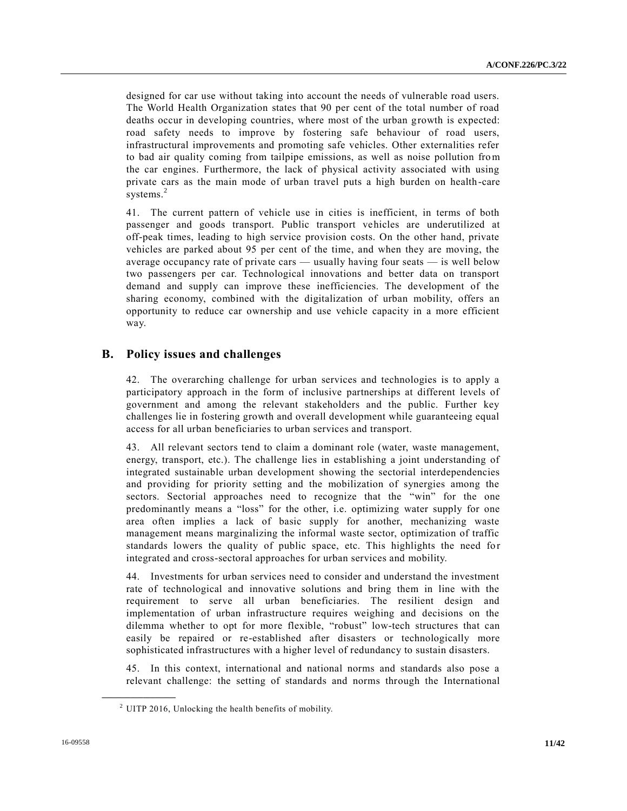designed for car use without taking into account the needs of vulnerable road users. The World Health Organization states that 90 per cent of the total number of road deaths occur in developing countries, where most of the urban growth is expected: road safety needs to improve by fostering safe behaviour of road users, infrastructural improvements and promoting safe vehicles. Other externalities refer to bad air quality coming from tailpipe emissions, as well as noise pollution from the car engines. Furthermore, the lack of physical activity associated with using private cars as the main mode of urban travel puts a high burden on health -care systems.<sup>2</sup>

41. The current pattern of vehicle use in cities is inefficient, in terms of both passenger and goods transport. Public transport vehicles are underutilized at off-peak times, leading to high service provision costs. On the other hand, private vehicles are parked about 95 per cent of the time, and when they are moving, the average occupancy rate of private cars — usually having four seats — is well below two passengers per car. Technological innovations and better data on transport demand and supply can improve these inefficiencies. The development of the sharing economy, combined with the digitalization of urban mobility, offers an opportunity to reduce car ownership and use vehicle capacity in a more efficient way.

## **B. Policy issues and challenges**

42. The overarching challenge for urban services and technologies is to apply a participatory approach in the form of inclusive partnerships at different levels of government and among the relevant stakeholders and the public. Further key challenges lie in fostering growth and overall development while guaranteeing equal access for all urban beneficiaries to urban services and transport.

43. All relevant sectors tend to claim a dominant role (water, waste management, energy, transport, etc.). The challenge lies in establishing a joint understanding of integrated sustainable urban development showing the sectorial interdependencies and providing for priority setting and the mobilization of synergies among the sectors. Sectorial approaches need to recognize that the "win" for the one predominantly means a "loss" for the other, i.e. optimizing water supply for one area often implies a lack of basic supply for another, mechanizing waste management means marginalizing the informal waste sector, optimization of traffic standards lowers the quality of public space, etc. This highlights the need for integrated and cross-sectoral approaches for urban services and mobility.

44. Investments for urban services need to consider and understand the investment rate of technological and innovative solutions and bring them in line with the requirement to serve all urban beneficiaries. The resilient design and implementation of urban infrastructure requires weighing and decisions on the dilemma whether to opt for more flexible, "robust" low-tech structures that can easily be repaired or re-established after disasters or technologically more sophisticated infrastructures with a higher level of redundancy to sustain disasters.

45. In this context, international and national norms and standards also pose a relevant challenge: the setting of standards and norms through the International

**\_\_\_\_\_\_\_\_\_\_\_\_\_\_\_\_\_\_**

 $2$  UITP 2016, Unlocking the health benefits of mobility.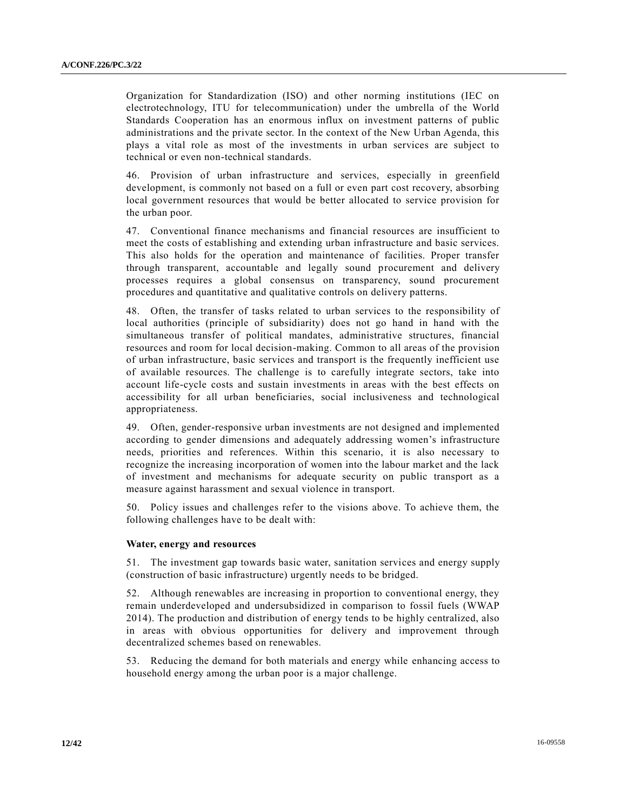Organization for Standardization (ISO) and other norming institutions (IEC on electrotechnology, ITU for telecommunication) under the umbrella of the World Standards Cooperation has an enormous influx on investment patterns of public administrations and the private sector. In the context of the New Urban Agenda, this plays a vital role as most of the investments in urban services are subject to technical or even non-technical standards.

46. Provision of urban infrastructure and services, especially in greenfield development, is commonly not based on a full or even part cost recovery, absorbing local government resources that would be better allocated to service provision for the urban poor.

47. Conventional finance mechanisms and financial resources are insufficient to meet the costs of establishing and extending urban infrastructure and basic services. This also holds for the operation and maintenance of facilities. Proper transfer through transparent, accountable and legally sound procurement and delivery processes requires a global consensus on transparency, sound procurement procedures and quantitative and qualitative controls on delivery patterns.

48. Often, the transfer of tasks related to urban services to the responsibility of local authorities (principle of subsidiarity) does not go hand in hand with the simultaneous transfer of political mandates, administrative structures, financial resources and room for local decision-making. Common to all areas of the provision of urban infrastructure, basic services and transport is the frequently inefficient use of available resources. The challenge is to carefully integrate sectors, take into account life-cycle costs and sustain investments in areas with the best effects on accessibility for all urban beneficiaries, social inclusiveness and technological appropriateness.

49. Often, gender-responsive urban investments are not designed and implemented according to gender dimensions and adequately addressing women's infrastructure needs, priorities and references. Within this scenario, it is also necessary to recognize the increasing incorporation of women into the labour market and the lack of investment and mechanisms for adequate security on public transport as a measure against harassment and sexual violence in transport.

50. Policy issues and challenges refer to the visions above. To achieve them, the following challenges have to be dealt with:

## **Water, energy and resources**

51. The investment gap towards basic water, sanitation services and energy supply (construction of basic infrastructure) urgently needs to be bridged.

52. Although renewables are increasing in proportion to conventional energy, they remain underdeveloped and undersubsidized in comparison to fossil fuels (WWAP 2014). The production and distribution of energy tends to be highly centralized, also in areas with obvious opportunities for delivery and improvement through decentralized schemes based on renewables.

53. Reducing the demand for both materials and energy while enhancing access to household energy among the urban poor is a major challenge.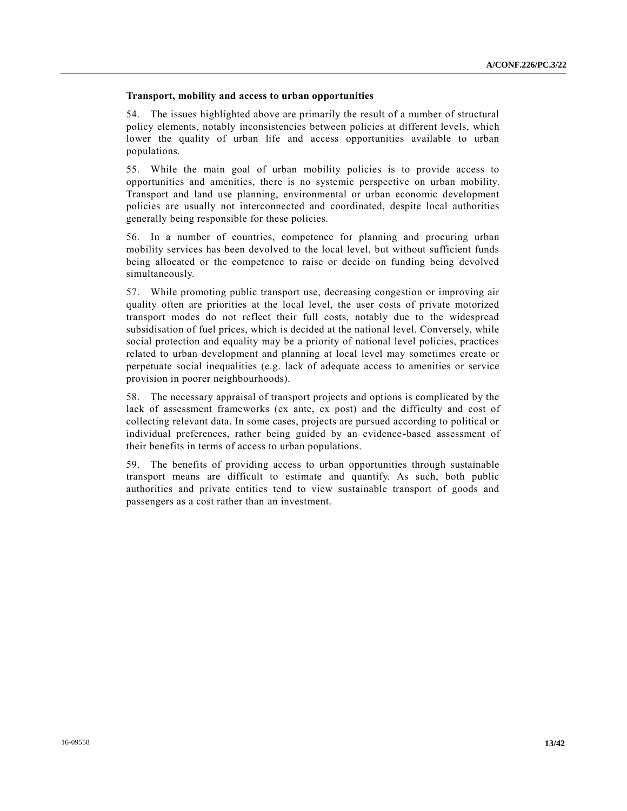## **Transport, mobility and access to urban opportunities**

54. The issues highlighted above are primarily the result of a number of structural policy elements, notably inconsistencies between policies at different levels, which lower the quality of urban life and access opportunities available to urban populations.

55. While the main goal of urban mobility policies is to provide access to opportunities and amenities, there is no systemic perspective on urban mobility. Transport and land use planning, environmental or urban economic development policies are usually not interconnected and coordinated, despite local authorities generally being responsible for these policies.

56. In a number of countries, competence for planning and procuring urban mobility services has been devolved to the local level, but without sufficient funds being allocated or the competence to raise or decide on funding being devolved simultaneously.

57. While promoting public transport use, decreasing congestion or improving air quality often are priorities at the local level, the user costs of private motorized transport modes do not reflect their full costs, notably due to the widespread subsidisation of fuel prices, which is decided at the national level. Conversely, while social protection and equality may be a priority of national level policies, practices related to urban development and planning at local level may sometimes create or perpetuate social inequalities (e.g. lack of adequate access to amenities or service provision in poorer neighbourhoods).

58. The necessary appraisal of transport projects and options is complicated by the lack of assessment frameworks (ex ante, ex post) and the difficulty and cost of collecting relevant data. In some cases, projects are pursued according to political or individual preferences, rather being guided by an evidence-based assessment of their benefits in terms of access to urban populations.

59. The benefits of providing access to urban opportunities through sustainable transport means are difficult to estimate and quantify. As such, both public authorities and private entities tend to view sustainable transport of goods and passengers as a cost rather than an investment.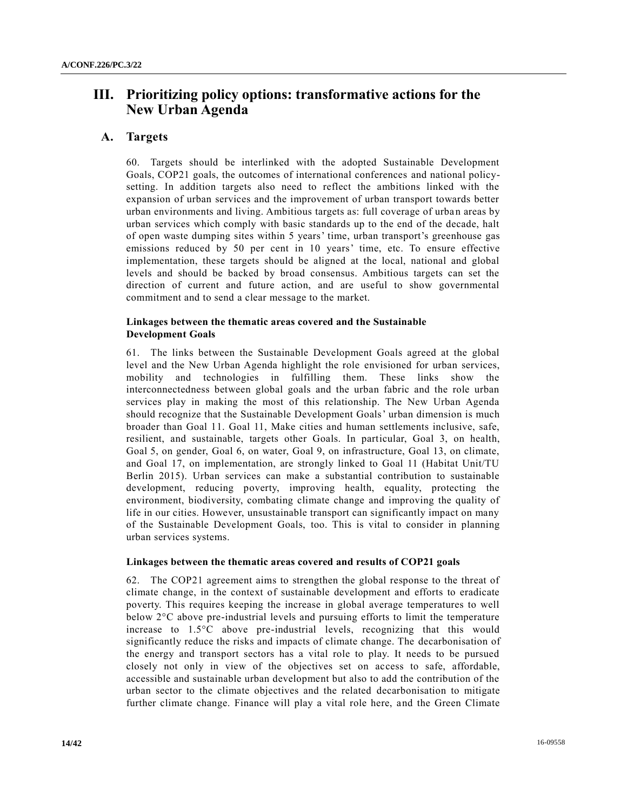# **III. Prioritizing policy options: transformative actions for the New Urban Agenda**

## **A. Targets**

60. Targets should be interlinked with the adopted Sustainable Development Goals, COP21 goals, the outcomes of international conferences and national policysetting. In addition targets also need to reflect the ambitions linked with the expansion of urban services and the improvement of urban transport towards better urban environments and living. Ambitious targets as: full coverage of urban areas by urban services which comply with basic standards up to the end of the decade, halt of open waste dumping sites within 5 years' time, urban transport's greenhouse gas emissions reduced by 50 per cent in 10 years' time, etc. To ensure effective implementation, these targets should be aligned at the local, national and global levels and should be backed by broad consensus. Ambitious targets can set the direction of current and future action, and are useful to show governmental commitment and to send a clear message to the market.

## **Linkages between the thematic areas covered and the Sustainable Development Goals**

61. The links between the Sustainable Development Goals agreed at the global level and the New Urban Agenda highlight the role envisioned for urban services, mobility and technologies in fulfilling them. These links show the interconnectedness between global goals and the urban fabric and the role urban services play in making the most of this relationship. The New Urban Agenda should recognize that the Sustainable Development Goals' urban dimension is much broader than Goal 11. Goal 11, Make cities and human settlements inclusive, safe, resilient, and sustainable, targets other Goals. In particular, Goal 3, on health, Goal 5, on gender, Goal 6, on water, Goal 9, on infrastructure, Goal 13, on climate, and Goal 17, on implementation, are strongly linked to Goal 11 (Habitat Unit/TU Berlin 2015). Urban services can make a substantial contribution to sustainable development, reducing poverty, improving health, equality, protecting the environment, biodiversity, combating climate change and improving the quality of life in our cities. However, unsustainable transport can significantly impact on many of the Sustainable Development Goals, too. This is vital to consider in planning urban services systems.

#### **Linkages between the thematic areas covered and results of COP21 goals**

62. The COP21 agreement aims to strengthen the global response to the threat of climate change, in the context of sustainable development and efforts to eradicate poverty. This requires keeping the increase in global average temperatures to well below 2°C above pre-industrial levels and pursuing efforts to limit the temperature increase to 1.5°C above pre-industrial levels, recognizing that this would significantly reduce the risks and impacts of climate change. The decarbonisation of the energy and transport sectors has a vital role to play. It needs to be pursued closely not only in view of the objectives set on access to safe, affordable, accessible and sustainable urban development but also to add the contribution of the urban sector to the climate objectives and the related decarbonisation to mitigate further climate change. Finance will play a vital role here, and the Green Climate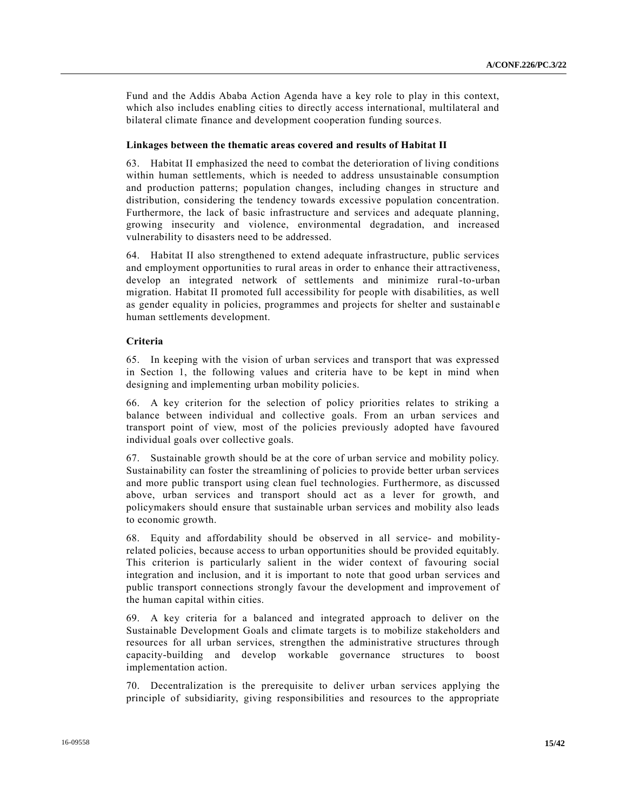Fund and the Addis Ababa Action Agenda have a key role to play in this context, which also includes enabling cities to directly access international, multilateral and bilateral climate finance and development cooperation funding sources.

#### **Linkages between the thematic areas covered and results of Habitat II**

63. Habitat II emphasized the need to combat the deterioration of living conditions within human settlements, which is needed to address unsustainable consumption and production patterns; population changes, including changes in structure and distribution, considering the tendency towards excessive population concentration. Furthermore, the lack of basic infrastructure and services and adequate planning, growing insecurity and violence, environmental degradation, and increased vulnerability to disasters need to be addressed.

64. Habitat II also strengthened to extend adequate infrastructure, public services and employment opportunities to rural areas in order to enhance their attractiveness, develop an integrated network of settlements and minimize rural-to-urban migration. Habitat II promoted full accessibility for people with disabilities, as well as gender equality in policies, programmes and projects for shelter and sustainabl e human settlements development.

### **Criteria**

65. In keeping with the vision of urban services and transport that was expressed in Section 1, the following values and criteria have to be kept in mind when designing and implementing urban mobility policies.

66. A key criterion for the selection of policy priorities relates to striking a balance between individual and collective goals. From an urban services and transport point of view, most of the policies previously adopted have favoured individual goals over collective goals.

67. Sustainable growth should be at the core of urban service and mobility policy. Sustainability can foster the streamlining of policies to provide better urban services and more public transport using clean fuel technologies. Furthermore, as discussed above, urban services and transport should act as a lever for growth, and policymakers should ensure that sustainable urban services and mobility also leads to economic growth.

68. Equity and affordability should be observed in all service- and mobilityrelated policies, because access to urban opportunities should be provided equitably. This criterion is particularly salient in the wider context of favouring social integration and inclusion, and it is important to note that good urban services and public transport connections strongly favour the development and improvement of the human capital within cities.

69. A key criteria for a balanced and integrated approach to deliver on the Sustainable Development Goals and climate targets is to mobilize stakeholders and resources for all urban services, strengthen the administrative structures through capacity-building and develop workable governance structures to boost implementation action.

70. Decentralization is the prerequisite to deliver urban services applying the principle of subsidiarity, giving responsibilities and resources to the appropriate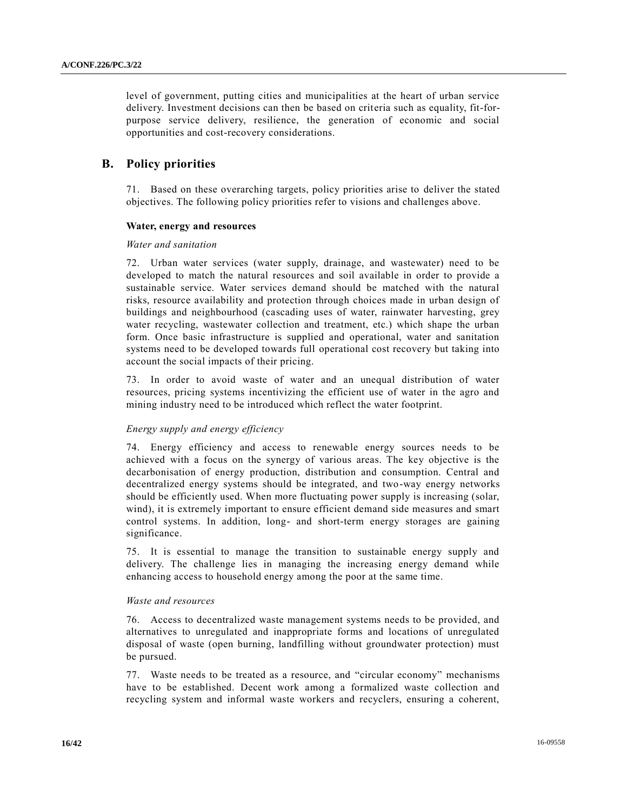level of government, putting cities and municipalities at the heart of urban service delivery. Investment decisions can then be based on criteria such as equality, fit-forpurpose service delivery, resilience, the generation of economic and social opportunities and cost-recovery considerations.

# **B. Policy priorities**

71. Based on these overarching targets, policy priorities arise to deliver the stated objectives. The following policy priorities refer to visions and challenges above.

## **Water, energy and resources**

## *Water and sanitation*

72. Urban water services (water supply, drainage, and wastewater) need to be developed to match the natural resources and soil available in order to provide a sustainable service. Water services demand should be matched with the natural risks, resource availability and protection through choices made in urban design of buildings and neighbourhood (cascading uses of water, rainwater harvesting, grey water recycling, wastewater collection and treatment, etc.) which shape the urban form. Once basic infrastructure is supplied and operational, water and sanitation systems need to be developed towards full operational cost recovery but taking into account the social impacts of their pricing.

73. In order to avoid waste of water and an unequal distribution of water resources, pricing systems incentivizing the efficient use of water in the agro and mining industry need to be introduced which reflect the water footprint.

## *Energy supply and energy efficiency*

74. Energy efficiency and access to renewable energy sources needs to be achieved with a focus on the synergy of various areas. The key objective is the decarbonisation of energy production, distribution and consumption. Central and decentralized energy systems should be integrated, and two-way energy networks should be efficiently used. When more fluctuating power supply is increasing (solar, wind), it is extremely important to ensure efficient demand side measures and smart control systems. In addition, long- and short-term energy storages are gaining significance.

75. It is essential to manage the transition to sustainable energy supply and delivery. The challenge lies in managing the increasing energy demand while enhancing access to household energy among the poor at the same time.

## *Waste and resources*

76. Access to decentralized waste management systems needs to be provided, and alternatives to unregulated and inappropriate forms and locations of unregulated disposal of waste (open burning, landfilling without groundwater protection) must be pursued.

77. Waste needs to be treated as a resource, and "circular economy" mechanisms have to be established. Decent work among a formalized waste collection and recycling system and informal waste workers and recyclers, ensuring a coherent,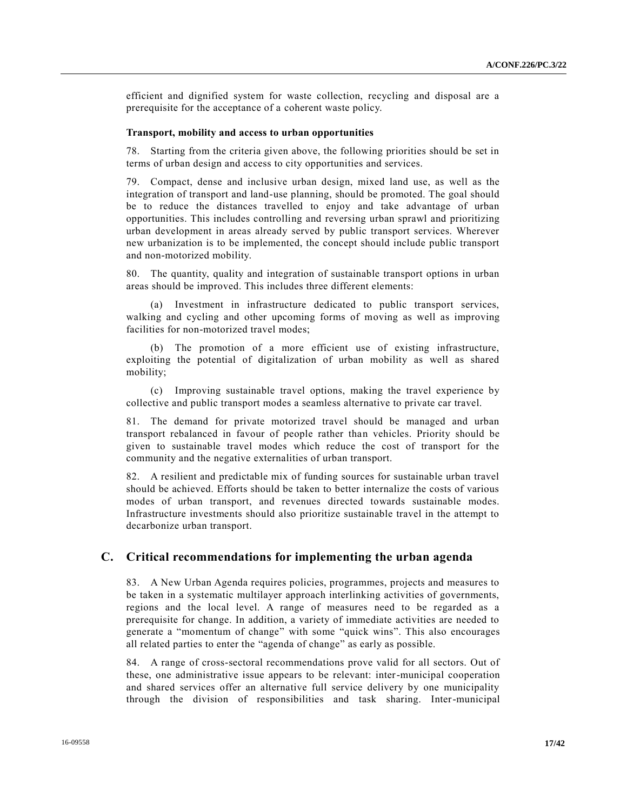efficient and dignified system for waste collection, recycling and disposal are a prerequisite for the acceptance of a coherent waste policy.

## **Transport, mobility and access to urban opportunities**

78. Starting from the criteria given above, the following priorities should be set in terms of urban design and access to city opportunities and services.

79. Compact, dense and inclusive urban design, mixed land use, as well as the integration of transport and land-use planning, should be promoted. The goal should be to reduce the distances travelled to enjoy and take advantage of urban opportunities. This includes controlling and reversing urban sprawl and prioritizing urban development in areas already served by public transport services. Wherever new urbanization is to be implemented, the concept should include public transport and non-motorized mobility.

80. The quantity, quality and integration of sustainable transport options in urban areas should be improved. This includes three different elements:

(a) Investment in infrastructure dedicated to public transport services, walking and cycling and other upcoming forms of moving as well as improving facilities for non-motorized travel modes;

(b) The promotion of a more efficient use of existing infrastructure, exploiting the potential of digitalization of urban mobility as well as shared mobility;

(c) Improving sustainable travel options, making the travel experience by collective and public transport modes a seamless alternative to private car travel.

81. The demand for private motorized travel should be managed and urban transport rebalanced in favour of people rather than vehicles. Priority should be given to sustainable travel modes which reduce the cost of transport for the community and the negative externalities of urban transport.

82. A resilient and predictable mix of funding sources for sustainable urban travel should be achieved. Efforts should be taken to better internalize the costs of various modes of urban transport, and revenues directed towards sustainable modes. Infrastructure investments should also prioritize sustainable travel in the attempt to decarbonize urban transport.

## **C. Critical recommendations for implementing the urban agenda**

83. A New Urban Agenda requires policies, programmes, projects and measures to be taken in a systematic multilayer approach interlinking activities of governments, regions and the local level. A range of measures need to be regarded as a prerequisite for change. In addition, a variety of immediate activities are needed to generate a "momentum of change" with some "quick wins". This also encourages all related parties to enter the "agenda of change" as early as possible.

84. A range of cross-sectoral recommendations prove valid for all sectors. Out of these, one administrative issue appears to be relevant: inter-municipal cooperation and shared services offer an alternative full service delivery by one municipality through the division of responsibilities and task sharing. Inter-municipal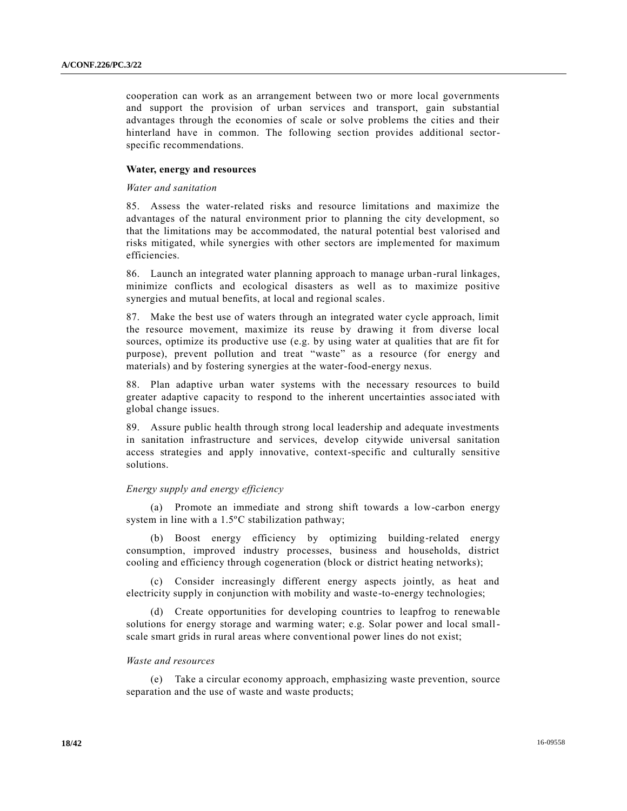cooperation can work as an arrangement between two or more local governments and support the provision of urban services and transport, gain substantial advantages through the economies of scale or solve problems the cities and their hinterland have in common. The following section provides additional sectorspecific recommendations.

#### **Water, energy and resources**

#### *Water and sanitation*

85. Assess the water-related risks and resource limitations and maximize the advantages of the natural environment prior to planning the city development, so that the limitations may be accommodated, the natural potential best valorised and risks mitigated, while synergies with other sectors are implemented for maximum efficiencies.

86. Launch an integrated water planning approach to manage urban-rural linkages, minimize conflicts and ecological disasters as well as to maximize positive synergies and mutual benefits, at local and regional scales.

87. Make the best use of waters through an integrated water cycle approach, limit the resource movement, maximize its reuse by drawing it from diverse local sources, optimize its productive use (e.g. by using water at qualities that are fit for purpose), prevent pollution and treat "waste" as a resource (for energy and materials) and by fostering synergies at the water-food-energy nexus.

88. Plan adaptive urban water systems with the necessary resources to build greater adaptive capacity to respond to the inherent uncertainties associated with global change issues.

89. Assure public health through strong local leadership and adequate investments in sanitation infrastructure and services, develop citywide universal sanitation access strategies and apply innovative, context-specific and culturally sensitive solutions.

### *Energy supply and energy efficiency*

(a) Promote an immediate and strong shift towards a low-carbon energy system in line with a 1.5ºC stabilization pathway;

(b) Boost energy efficiency by optimizing building‐related energy consumption, improved industry processes, business and households, district cooling and efficiency through cogeneration (block or district heating networks);

(c) Consider increasingly different energy aspects jointly, as heat and electricity supply in conjunction with mobility and waste-to-energy technologies;

(d) Create opportunities for developing countries to leapfrog to renewable solutions for energy storage and warming water; e.g. Solar power and local smallscale smart grids in rural areas where conventional power lines do not exist;

#### *Waste and resources*

(e) Take a circular economy approach, emphasizing waste prevention, source separation and the use of waste and waste products;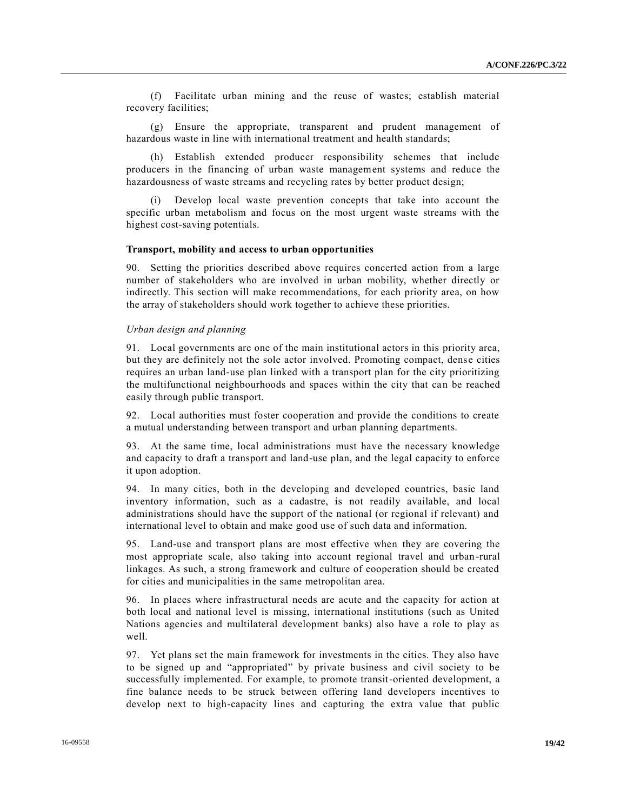(f) Facilitate urban mining and the reuse of wastes; establish material recovery facilities;

(g) Ensure the appropriate, transparent and prudent management of hazardous waste in line with international treatment and health standards;

(h) Establish extended producer responsibility schemes that include producers in the financing of urban waste management systems and reduce the hazardousness of waste streams and recycling rates by better product design;

(i) Develop local waste prevention concepts that take into account the specific urban metabolism and focus on the most urgent waste streams with the highest cost-saving potentials.

#### **Transport, mobility and access to urban opportunities**

90. Setting the priorities described above requires concerted action from a large number of stakeholders who are involved in urban mobility, whether directly or indirectly. This section will make recommendations, for each priority area, on how the array of stakeholders should work together to achieve these priorities.

#### *Urban design and planning*

91. Local governments are one of the main institutional actors in this priority area, but they are definitely not the sole actor involved. Promoting compact, dense cities requires an urban land-use plan linked with a transport plan for the city prioritizing the multifunctional neighbourhoods and spaces within the city that can be reached easily through public transport.

92. Local authorities must foster cooperation and provide the conditions to create a mutual understanding between transport and urban planning departments.

93. At the same time, local administrations must have the necessary knowledge and capacity to draft a transport and land-use plan, and the legal capacity to enforce it upon adoption.

94. In many cities, both in the developing and developed countries, basic land inventory information, such as a cadastre, is not readily available, and local administrations should have the support of the national (or regional if relevant) and international level to obtain and make good use of such data and information.

95. Land-use and transport plans are most effective when they are covering the most appropriate scale, also taking into account regional travel and urban -rural linkages. As such, a strong framework and culture of cooperation should be created for cities and municipalities in the same metropolitan area.

96. In places where infrastructural needs are acute and the capacity for action at both local and national level is missing, international institutions (such as United Nations agencies and multilateral development banks) also have a role to play as well.

97. Yet plans set the main framework for investments in the cities. They also have to be signed up and "appropriated" by private business and civil society to be successfully implemented. For example, to promote transit-oriented development, a fine balance needs to be struck between offering land developers incentives to develop next to high-capacity lines and capturing the extra value that public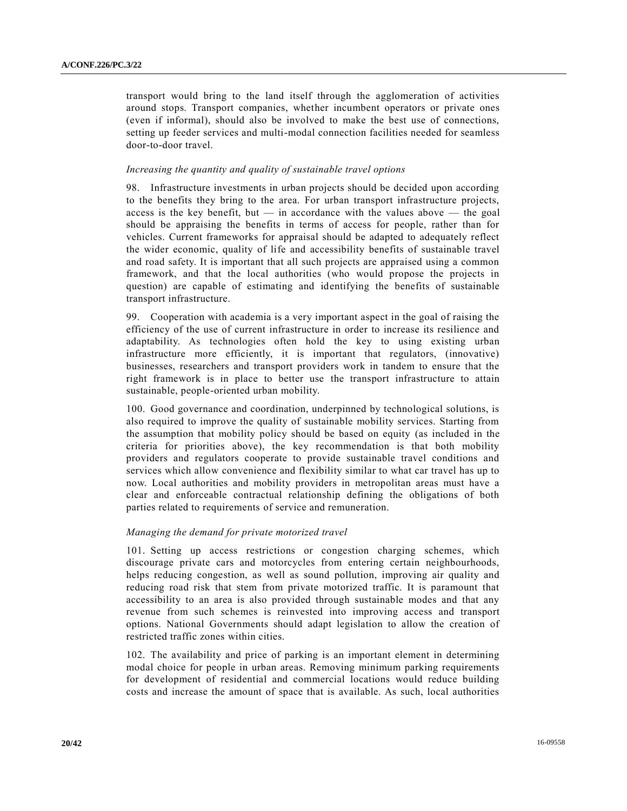transport would bring to the land itself through the agglomeration of activities around stops. Transport companies, whether incumbent operators or private ones (even if informal), should also be involved to make the best use of connections, setting up feeder services and multi-modal connection facilities needed for seamless door-to-door travel.

## *Increasing the quantity and quality of sustainable travel options*

98. Infrastructure investments in urban projects should be decided upon according to the benefits they bring to the area. For urban transport infrastructure projects, access is the key benefit, but — in accordance with the values above — the goal should be appraising the benefits in terms of access for people, rather than for vehicles. Current frameworks for appraisal should be adapted to adequately reflect the wider economic, quality of life and accessibility benefits of sustainable travel and road safety. It is important that all such projects are appraised using a common framework, and that the local authorities (who would propose the projects in question) are capable of estimating and identifying the benefits of sustainable transport infrastructure.

99. Cooperation with academia is a very important aspect in the goal of raising the efficiency of the use of current infrastructure in order to increase its resilience and adaptability. As technologies often hold the key to using existing urban infrastructure more efficiently, it is important that regulators, (innovative) businesses, researchers and transport providers work in tandem to ensure that the right framework is in place to better use the transport infrastructure to attain sustainable, people-oriented urban mobility.

100. Good governance and coordination, underpinned by technological solutions, is also required to improve the quality of sustainable mobility services. Starting from the assumption that mobility policy should be based on equity (as included in the criteria for priorities above), the key recommendation is that both mobility providers and regulators cooperate to provide sustainable travel conditions and services which allow convenience and flexibility similar to what car travel has up to now. Local authorities and mobility providers in metropolitan areas must have a clear and enforceable contractual relationship defining the obligations of both parties related to requirements of service and remuneration.

## *Managing the demand for private motorized travel*

101. Setting up access restrictions or congestion charging schemes, which discourage private cars and motorcycles from entering certain neighbourhoods, helps reducing congestion, as well as sound pollution, improving air quality and reducing road risk that stem from private motorized traffic. It is paramount that accessibility to an area is also provided through sustainable modes and that any revenue from such schemes is reinvested into improving access and transport options. National Governments should adapt legislation to allow the creation of restricted traffic zones within cities.

102. The availability and price of parking is an important element in determining modal choice for people in urban areas. Removing minimum parking requirements for development of residential and commercial locations would reduce building costs and increase the amount of space that is available. As such, local authorities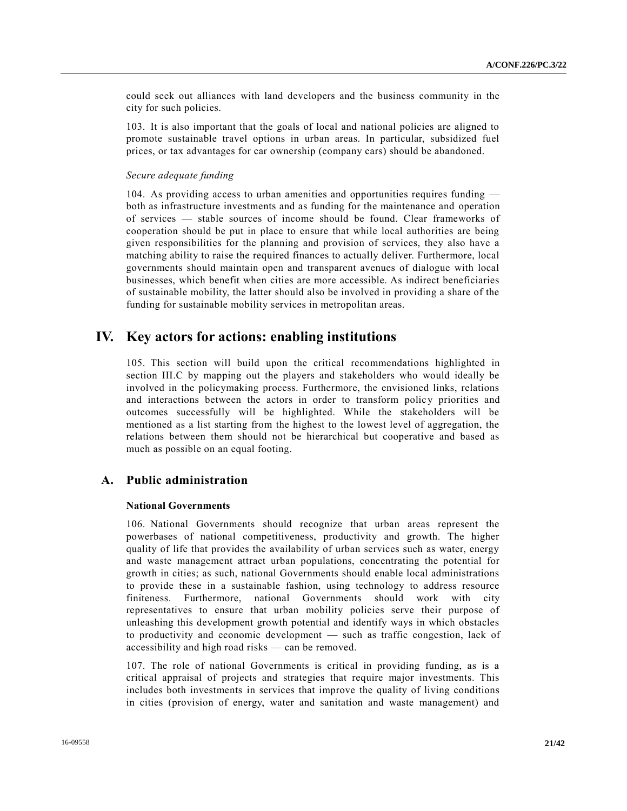could seek out alliances with land developers and the business community in the city for such policies.

103. It is also important that the goals of local and national policies are aligned to promote sustainable travel options in urban areas. In particular, subsidized fuel prices, or tax advantages for car ownership (company cars) should be abandoned.

### *Secure adequate funding*

104. As providing access to urban amenities and opportunities requires funding both as infrastructure investments and as funding for the maintenance and operation of services — stable sources of income should be found. Clear frameworks of cooperation should be put in place to ensure that while local authorities are being given responsibilities for the planning and provision of services, they also have a matching ability to raise the required finances to actually deliver. Furthermore, local governments should maintain open and transparent avenues of dialogue with local businesses, which benefit when cities are more accessible. As indirect beneficiaries of sustainable mobility, the latter should also be involved in providing a share of the funding for sustainable mobility services in metropolitan areas.

# **IV. Key actors for actions: enabling institutions**

105. This section will build upon the critical recommendations highlighted in section III.C by mapping out the players and stakeholders who would ideally be involved in the policymaking process. Furthermore, the envisioned links, relations and interactions between the actors in order to transform policy priorities and outcomes successfully will be highlighted. While the stakeholders will be mentioned as a list starting from the highest to the lowest level of aggregation, the relations between them should not be hierarchical but cooperative and based as much as possible on an equal footing.

## **A. Public administration**

## **National Governments**

106. National Governments should recognize that urban areas represent the powerbases of national competitiveness, productivity and growth. The higher quality of life that provides the availability of urban services such as water, energy and waste management attract urban populations, concentrating the potential for growth in cities; as such, national Governments should enable local administrations to provide these in a sustainable fashion, using technology to address resource finiteness. Furthermore, national Governments should work with city representatives to ensure that urban mobility policies serve their purpose of unleashing this development growth potential and identify ways in which obstacles to productivity and economic development — such as traffic congestion, lack of accessibility and high road risks — can be removed.

107. The role of national Governments is critical in providing funding, as is a critical appraisal of projects and strategies that require major investments. This includes both investments in services that improve the quality of living conditions in cities (provision of energy, water and sanitation and waste management) and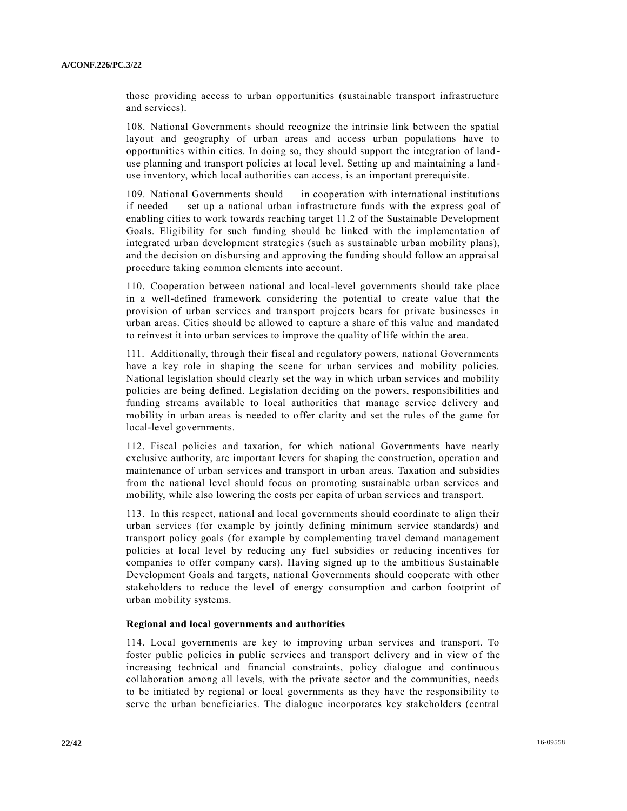those providing access to urban opportunities (sustainable transport infrastructure and services).

108. National Governments should recognize the intrinsic link between the spatial layout and geography of urban areas and access urban populations have to opportunities within cities. In doing so, they should support the integration of land use planning and transport policies at local level. Setting up and maintaining a landuse inventory, which local authorities can access, is an important prerequisite.

109. National Governments should — in cooperation with international institutions if needed — set up a national urban infrastructure funds with the express goal of enabling cities to work towards reaching target 11.2 of the Sustainable Development Goals. Eligibility for such funding should be linked with the implementation of integrated urban development strategies (such as sustainable urban mobility plans), and the decision on disbursing and approving the funding should follow an appraisal procedure taking common elements into account.

110. Cooperation between national and local-level governments should take place in a well-defined framework considering the potential to create value that the provision of urban services and transport projects bears for private businesses in urban areas. Cities should be allowed to capture a share of this value and mandated to reinvest it into urban services to improve the quality of life within the area.

111. Additionally, through their fiscal and regulatory powers, national Governments have a key role in shaping the scene for urban services and mobility policies. National legislation should clearly set the way in which urban services and mobility policies are being defined. Legislation deciding on the powers, responsibilities and funding streams available to local authorities that manage service delivery and mobility in urban areas is needed to offer clarity and set the rules of the game for local-level governments.

112. Fiscal policies and taxation, for which national Governments have nearly exclusive authority, are important levers for shaping the construction, operation and maintenance of urban services and transport in urban areas. Taxation and subsidies from the national level should focus on promoting sustainable urban services and mobility, while also lowering the costs per capita of urban services and transport.

113. In this respect, national and local governments should coordinate to align their urban services (for example by jointly defining minimum service standards) and transport policy goals (for example by complementing travel demand management policies at local level by reducing any fuel subsidies or reducing incentives for companies to offer company cars). Having signed up to the ambitious Sustainable Development Goals and targets, national Governments should cooperate with other stakeholders to reduce the level of energy consumption and carbon footprint of urban mobility systems.

#### **Regional and local governments and authorities**

114. Local governments are key to improving urban services and transport. To foster public policies in public services and transport delivery and in view o f the increasing technical and financial constraints, policy dialogue and continuous collaboration among all levels, with the private sector and the communities, needs to be initiated by regional or local governments as they have the responsibility to serve the urban beneficiaries. The dialogue incorporates key stakeholders (central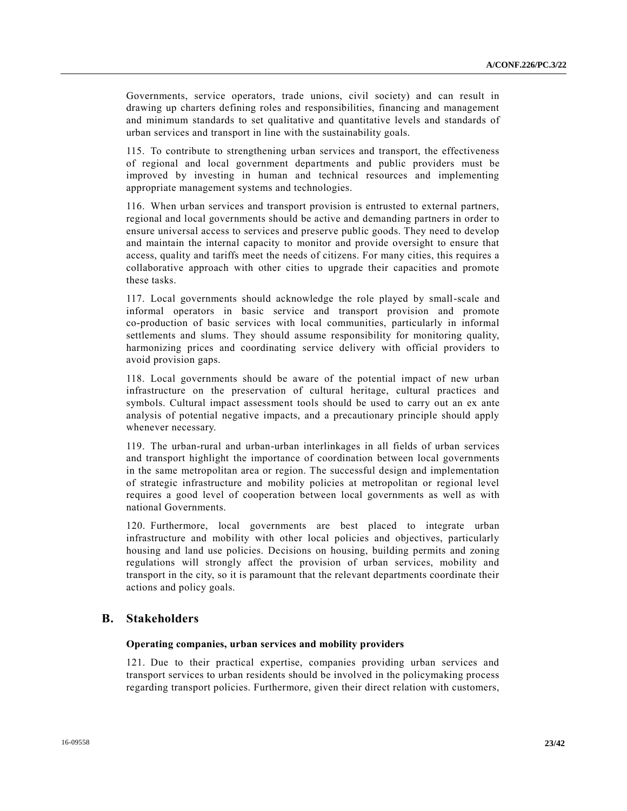Governments, service operators, trade unions, civil society) and can result in drawing up charters defining roles and responsibilities, financing and management and minimum standards to set qualitative and quantitative levels and standards of urban services and transport in line with the sustainability goals.

115. To contribute to strengthening urban services and transport, the effectiveness of regional and local government departments and public providers must be improved by investing in human and technical resources and implementing appropriate management systems and technologies.

116. When urban services and transport provision is entrusted to external partners, regional and local governments should be active and demanding partners in order to ensure universal access to services and preserve public goods. They need to develop and maintain the internal capacity to monitor and provide oversight to ensure that access, quality and tariffs meet the needs of citizens. For many cities, this requires a collaborative approach with other cities to upgrade their capacities and promote these tasks.

117. Local governments should acknowledge the role played by small-scale and informal operators in basic service and transport provision and promote co-production of basic services with local communities, particularly in informal settlements and slums. They should assume responsibility for monitoring quality, harmonizing prices and coordinating service delivery with official providers to avoid provision gaps.

118. Local governments should be aware of the potential impact of new urban infrastructure on the preservation of cultural heritage, cultural practices and symbols. Cultural impact assessment tools should be used to carry out an ex ante analysis of potential negative impacts, and a precautionary principle should apply whenever necessary.

119. The urban-rural and urban-urban interlinkages in all fields of urban services and transport highlight the importance of coordination between local governments in the same metropolitan area or region. The successful design and implementation of strategic infrastructure and mobility policies at metropolitan or regional level requires a good level of cooperation between local governments as well as with national Governments.

120. Furthermore, local governments are best placed to integrate urban infrastructure and mobility with other local policies and objectives, particularly housing and land use policies. Decisions on housing, building permits and zoning regulations will strongly affect the provision of urban services, mobility and transport in the city, so it is paramount that the relevant departments coordinate their actions and policy goals.

## **B. Stakeholders**

#### **Operating companies, urban services and mobility providers**

121. Due to their practical expertise, companies providing urban services and transport services to urban residents should be involved in the policymaking process regarding transport policies. Furthermore, given their direct relation with customers,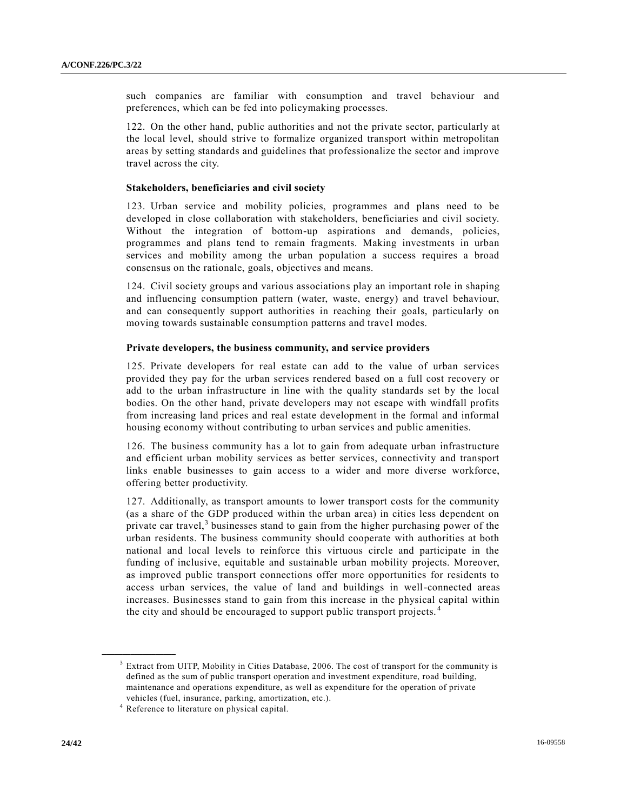such companies are familiar with consumption and travel behaviour and preferences, which can be fed into policymaking processes.

122. On the other hand, public authorities and not the private sector, particularly at the local level, should strive to formalize organized transport within metropolitan areas by setting standards and guidelines that professionalize the sector and improve travel across the city.

#### **Stakeholders, beneficiaries and civil society**

123. Urban service and mobility policies, programmes and plans need to be developed in close collaboration with stakeholders, beneficiaries and civil society. Without the integration of bottom-up aspirations and demands, policies, programmes and plans tend to remain fragments. Making investments in urban services and mobility among the urban population a success requires a broad consensus on the rationale, goals, objectives and means.

124. Civil society groups and various associations play an important role in shaping and influencing consumption pattern (water, waste, energy) and travel behaviour, and can consequently support authorities in reaching their goals, particularly on moving towards sustainable consumption patterns and travel modes.

#### **Private developers, the business community, and service providers**

125. Private developers for real estate can add to the value of urban services provided they pay for the urban services rendered based on a full cost recovery or add to the urban infrastructure in line with the quality standards set by the local bodies. On the other hand, private developers may not escape with windfall profits from increasing land prices and real estate development in the formal and informal housing economy without contributing to urban services and public amenities.

126. The business community has a lot to gain from adequate urban infrastructure and efficient urban mobility services as better services, connectivity and transport links enable businesses to gain access to a wider and more diverse workforce, offering better productivity.

127. Additionally, as transport amounts to lower transport costs for the community (as a share of the GDP produced within the urban area) in cities less dependent on private car travel, $3$  businesses stand to gain from the higher purchasing power of the urban residents. The business community should cooperate with authorities at both national and local levels to reinforce this virtuous circle and participate in the funding of inclusive, equitable and sustainable urban mobility projects. Moreover, as improved public transport connections offer more opportunities for residents to access urban services, the value of land and buildings in well-connected areas increases. Businesses stand to gain from this increase in the physical capital within the city and should be encouraged to support public transport projects. <sup>4</sup>

**\_\_\_\_\_\_\_\_\_\_\_\_\_\_\_\_\_\_**

<sup>&</sup>lt;sup>3</sup> Extract from UITP, Mobility in Cities Database, 2006. The cost of transport for the community is defined as the sum of public transport operation and investment expenditure, road building, maintenance and operations expenditure, as well as expenditure for the operation of private vehicles (fuel, insurance, parking, amortization, etc.).

<sup>&</sup>lt;sup>4</sup> Reference to literature on physical capital.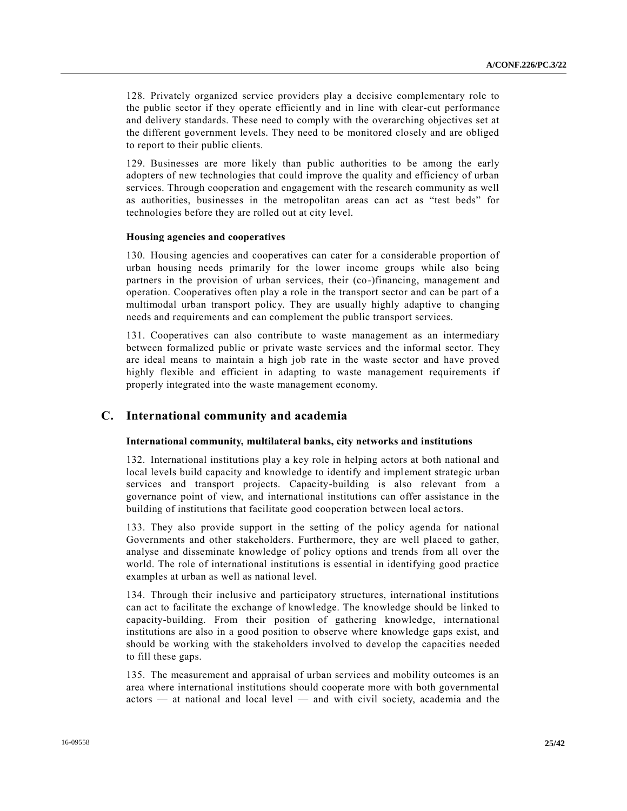128. Privately organized service providers play a decisive complementary role to the public sector if they operate efficiently and in line with clear-cut performance and delivery standards. These need to comply with the overarching objectives set at the different government levels. They need to be monitored closely and are obliged to report to their public clients.

129. Businesses are more likely than public authorities to be among the early adopters of new technologies that could improve the quality and efficiency of urban services. Through cooperation and engagement with the research community as well as authorities, businesses in the metropolitan areas can act as "test beds" for technologies before they are rolled out at city level.

#### **Housing agencies and cooperatives**

130. Housing agencies and cooperatives can cater for a considerable proportion of urban housing needs primarily for the lower income groups while also being partners in the provision of urban services, their (co-)financing, management and operation. Cooperatives often play a role in the transport sector and can be part of a multimodal urban transport policy. They are usually highly adaptive to changing needs and requirements and can complement the public transport services.

131. Cooperatives can also contribute to waste management as an intermediary between formalized public or private waste services and the informal sector. They are ideal means to maintain a high job rate in the waste sector and have proved highly flexible and efficient in adapting to waste management requirements if properly integrated into the waste management economy.

## **C. International community and academia**

#### **International community, multilateral banks, city networks and institutions**

132. International institutions play a key role in helping actors at both national and local levels build capacity and knowledge to identify and implement strategic urban services and transport projects. Capacity-building is also relevant from a governance point of view, and international institutions can offer assistance in the building of institutions that facilitate good cooperation between local ac tors.

133. They also provide support in the setting of the policy agenda for national Governments and other stakeholders. Furthermore, they are well placed to gather, analyse and disseminate knowledge of policy options and trends from all over the world. The role of international institutions is essential in identifying good practice examples at urban as well as national level.

134. Through their inclusive and participatory structures, international institutions can act to facilitate the exchange of knowledge. The knowledge should be linked to capacity-building. From their position of gathering knowledge, international institutions are also in a good position to observe where knowledge gaps exist, and should be working with the stakeholders involved to develop the capacities needed to fill these gaps.

135. The measurement and appraisal of urban services and mobility outcomes is an area where international institutions should cooperate more with both governmental actors — at national and local level — and with civil society, academia and the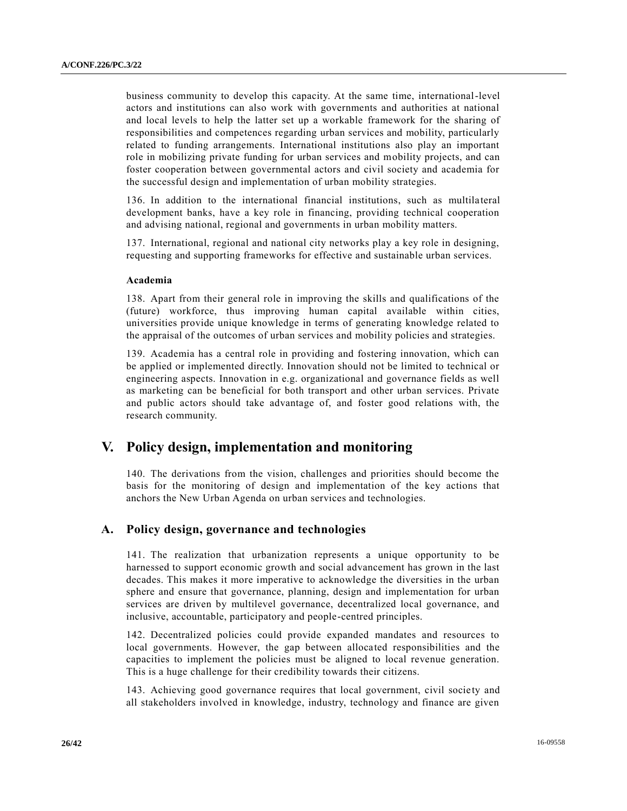business community to develop this capacity. At the same time, international-level actors and institutions can also work with governments and authorities at national and local levels to help the latter set up a workable framework for the sharing of responsibilities and competences regarding urban services and mobility, particularly related to funding arrangements. International institutions also play an important role in mobilizing private funding for urban services and mobility projects, and can foster cooperation between governmental actors and civil society and academia for the successful design and implementation of urban mobility strategies.

136. In addition to the international financial institutions, such as multila teral development banks, have a key role in financing, providing technical cooperation and advising national, regional and governments in urban mobility matters.

137. International, regional and national city networks play a key role in designing, requesting and supporting frameworks for effective and sustainable urban services.

#### **Academia**

138. Apart from their general role in improving the skills and qualifications of the (future) workforce, thus improving human capital available within cities, universities provide unique knowledge in terms of generating knowledge related to the appraisal of the outcomes of urban services and mobility policies and strategies.

139. Academia has a central role in providing and fostering innovation, which can be applied or implemented directly. Innovation should not be limited to technical or engineering aspects. Innovation in e.g. organizational and governance fields as well as marketing can be beneficial for both transport and other urban services. Private and public actors should take advantage of, and foster good relations with, the research community.

# **V. Policy design, implementation and monitoring**

140. The derivations from the vision, challenges and priorities should become the basis for the monitoring of design and implementation of the key actions that anchors the New Urban Agenda on urban services and technologies.

## **A. Policy design, governance and technologies**

141. The realization that urbanization represents a unique opportunity to be harnessed to support economic growth and social advancement has grown in the last decades. This makes it more imperative to acknowledge the diversities in the urban sphere and ensure that governance, planning, design and implementation for urban services are driven by multilevel governance, decentralized local governance, and inclusive, accountable, participatory and people-centred principles.

142. Decentralized policies could provide expanded mandates and resources to local governments. However, the gap between allocated responsibilities and the capacities to implement the policies must be aligned to local revenue generation. This is a huge challenge for their credibility towards their citizens.

143. Achieving good governance requires that local government, civil society and all stakeholders involved in knowledge, industry, technology and finance are given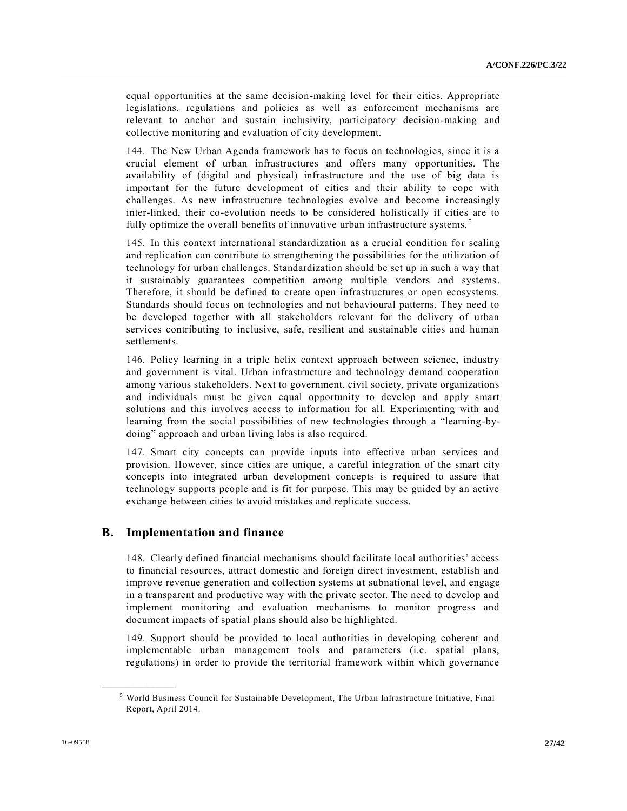equal opportunities at the same decision-making level for their cities. Appropriate legislations, regulations and policies as well as enforcement mechanisms are relevant to anchor and sustain inclusivity, participatory decision-making and collective monitoring and evaluation of city development.

144. The New Urban Agenda framework has to focus on technologies, since it is a crucial element of urban infrastructures and offers many opportunities. The availability of (digital and physical) infrastructure and the use of big data is important for the future development of cities and their ability to cope with challenges. As new infrastructure technologies evolve and become increasingly inter-linked, their co-evolution needs to be considered holistically if cities are to fully optimize the overall benefits of innovative urban infrastructure systems.<sup>5</sup>

145. In this context international standardization as a crucial condition for scaling and replication can contribute to strengthening the possibilities for the utilization of technology for urban challenges. Standardization should be set up in such a way that it sustainably guarantees competition among multiple vendors and systems. Therefore, it should be defined to create open infrastructures or open ecosystems. Standards should focus on technologies and not behavioural patterns. They need to be developed together with all stakeholders relevant for the delivery of urban services contributing to inclusive, safe, resilient and sustainable cities and human settlements.

146. Policy learning in a triple helix context approach between science, industry and government is vital. Urban infrastructure and technology demand cooperation among various stakeholders. Next to government, civil society, private organizations and individuals must be given equal opportunity to develop and apply smart solutions and this involves access to information for all. Experimenting with and learning from the social possibilities of new technologies through a "learning-bydoing" approach and urban living labs is also required.

147. Smart city concepts can provide inputs into effective urban services and provision. However, since cities are unique, a careful integration of the smart city concepts into integrated urban development concepts is required to assure that technology supports people and is fit for purpose. This may be guided by an active exchange between cities to avoid mistakes and replicate success.

## **B. Implementation and finance**

148. Clearly defined financial mechanisms should facilitate local authorities' access to financial resources, attract domestic and foreign direct investment, establish and improve revenue generation and collection systems at subnational level, and engage in a transparent and productive way with the private sector. The need to develop and implement monitoring and evaluation mechanisms to monitor progress and document impacts of spatial plans should also be highlighted.

149. Support should be provided to local authorities in developing coherent and implementable urban management tools and parameters (i.e. spatial plans, regulations) in order to provide the territorial framework within which governance

**\_\_\_\_\_\_\_\_\_\_\_\_\_\_\_\_\_\_**

<sup>5</sup> World Business Council for Sustainable Development, The Urban Infrastructure Initiative, Final Report, April 2014.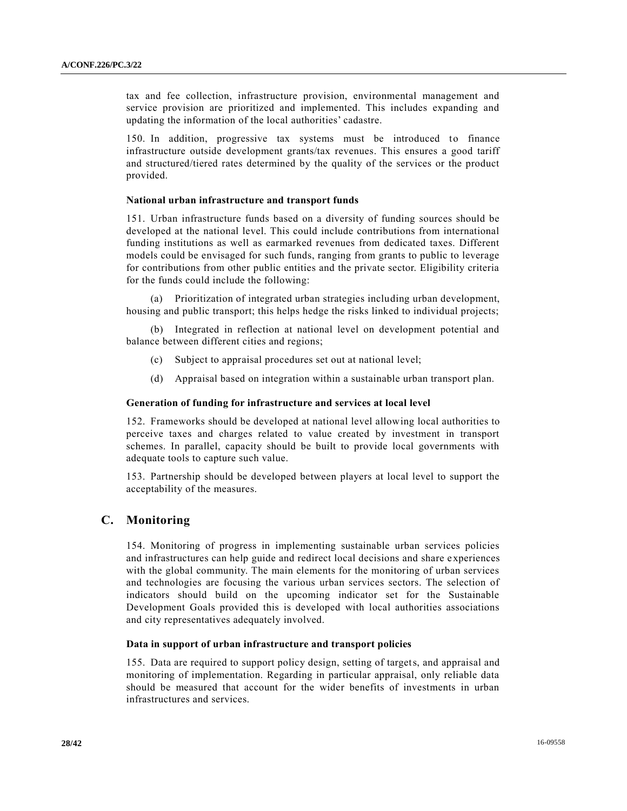tax and fee collection, infrastructure provision, environmental management and service provision are prioritized and implemented. This includes expanding and updating the information of the local authorities' cadastre.

150. In addition, progressive tax systems must be introduced to finance infrastructure outside development grants/tax revenues. This ensures a good tariff and structured/tiered rates determined by the quality of the services or the product provided.

## **National urban infrastructure and transport funds**

151. Urban infrastructure funds based on a diversity of funding sources should be developed at the national level. This could include contributions from international funding institutions as well as earmarked revenues from dedicated taxes. Different models could be envisaged for such funds, ranging from grants to public to leverage for contributions from other public entities and the private sector. Eligibility criteria for the funds could include the following:

(a) Prioritization of integrated urban strategies including urban development, housing and public transport; this helps hedge the risks linked to individual projects;

(b) Integrated in reflection at national level on development potential and balance between different cities and regions;

- (c) Subject to appraisal procedures set out at national level;
- (d) Appraisal based on integration within a sustainable urban transport plan.

## **Generation of funding for infrastructure and services at local level**

152. Frameworks should be developed at national level allowing local authorities to perceive taxes and charges related to value created by investment in transport schemes. In parallel, capacity should be built to provide local governments with adequate tools to capture such value.

153. Partnership should be developed between players at local level to support the acceptability of the measures.

## **C. Monitoring**

154. Monitoring of progress in implementing sustainable urban services policies and infrastructures can help guide and redirect local decisions and share experiences with the global community. The main elements for the monitoring of urban services and technologies are focusing the various urban services sectors. The selection of indicators should build on the upcoming indicator set for the Sustainable Development Goals provided this is developed with local authorities associations and city representatives adequately involved.

## **Data in support of urban infrastructure and transport policies**

155. Data are required to support policy design, setting of targets, and appraisal and monitoring of implementation. Regarding in particular appraisal, only reliable data should be measured that account for the wider benefits of investments in urban infrastructures and services.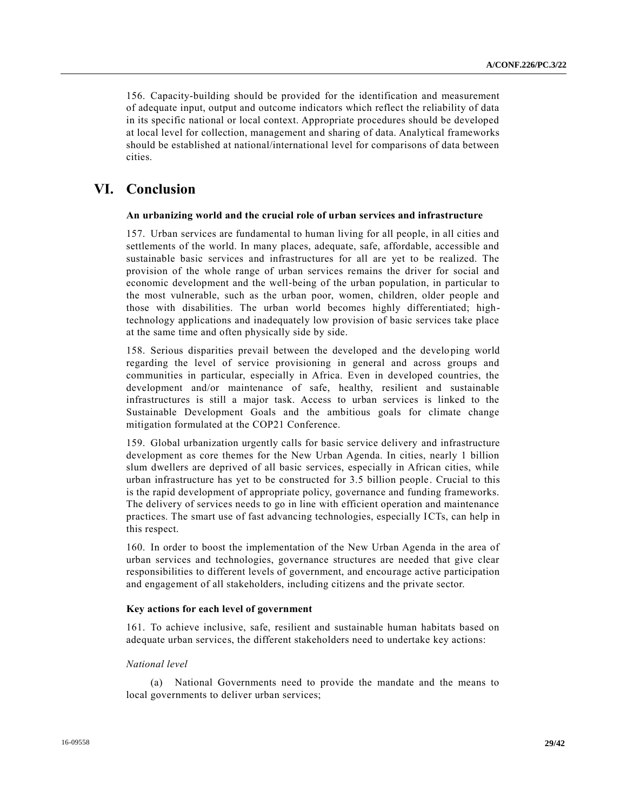156. Capacity-building should be provided for the identification and measurement of adequate input, output and outcome indicators which reflect the reliability of data in its specific national or local context. Appropriate procedures should be developed at local level for collection, management and sharing of data. Analytical frameworks should be established at national/international level for comparisons of data between cities.

# **VI. Conclusion**

#### **An urbanizing world and the crucial role of urban services and infrastructure**

157. Urban services are fundamental to human living for all people, in all cities and settlements of the world. In many places, adequate, safe, affordable, accessible and sustainable basic services and infrastructures for all are yet to be realized. The provision of the whole range of urban services remains the driver for social and economic development and the well-being of the urban population, in particular to the most vulnerable, such as the urban poor, women, children, older people and those with disabilities. The urban world becomes highly differentiated; hightechnology applications and inadequately low provision of basic services take place at the same time and often physically side by side.

158. Serious disparities prevail between the developed and the developing world regarding the level of service provisioning in general and across groups and communities in particular, especially in Africa. Even in developed countries, the development and/or maintenance of safe, healthy, resilient and sustainable infrastructures is still a major task. Access to urban services is linked to the Sustainable Development Goals and the ambitious goals for climate change mitigation formulated at the COP21 Conference.

159. Global urbanization urgently calls for basic service delivery and infrastructure development as core themes for the New Urban Agenda. In cities, nearly 1 billion slum dwellers are deprived of all basic services, especially in African cities, while urban infrastructure has yet to be constructed for 3.5 billion people . Crucial to this is the rapid development of appropriate policy, governance and funding frameworks. The delivery of services needs to go in line with efficient operation and maintenance practices. The smart use of fast advancing technologies, especially ICTs, can help in this respect.

160. In order to boost the implementation of the New Urban Agenda in the area of urban services and technologies, governance structures are needed that give clear responsibilities to different levels of government, and encourage active participation and engagement of all stakeholders, including citizens and the private sector.

#### **Key actions for each level of government**

161. To achieve inclusive, safe, resilient and sustainable human habitats based on adequate urban services, the different stakeholders need to undertake key actions:

#### *National level*

(a) National Governments need to provide the mandate and the means to local governments to deliver urban services;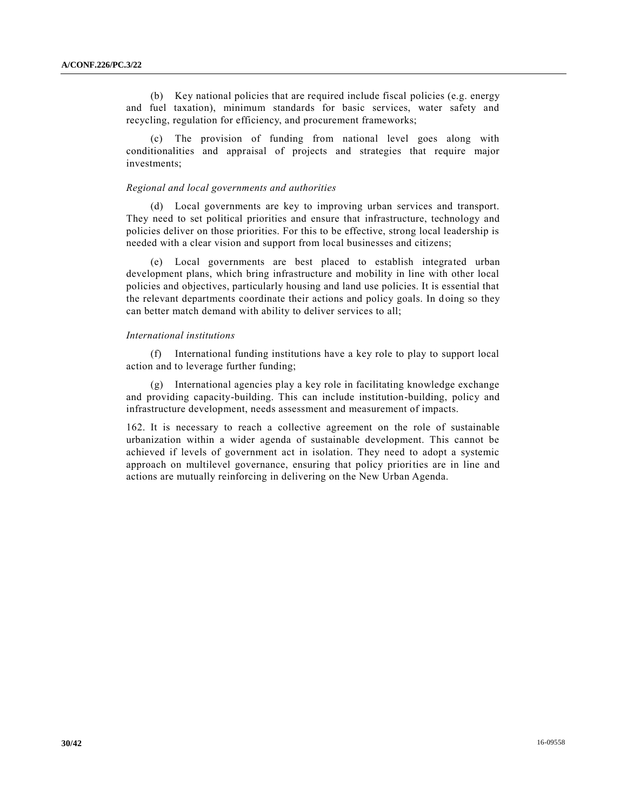(b) Key national policies that are required include fiscal policies (e.g. energy and fuel taxation), minimum standards for basic services, water safety and recycling, regulation for efficiency, and procurement frameworks;

(c) The provision of funding from national level goes along with conditionalities and appraisal of projects and strategies that require major investments;

#### *Regional and local governments and authorities*

(d) Local governments are key to improving urban services and transport. They need to set political priorities and ensure that infrastructure, technology and policies deliver on those priorities. For this to be effective, strong local leadership is needed with a clear vision and support from local businesses and citizens;

(e) Local governments are best placed to establish integrated urban development plans, which bring infrastructure and mobility in line with other local policies and objectives, particularly housing and land use policies. It is essential that the relevant departments coordinate their actions and policy goals. In doing so they can better match demand with ability to deliver services to all;

#### *International institutions*

(f) International funding institutions have a key role to play to support local action and to leverage further funding;

(g) International agencies play a key role in facilitating knowledge exchange and providing capacity-building. This can include institution-building, policy and infrastructure development, needs assessment and measurement of impacts.

162. It is necessary to reach a collective agreement on the role of sustainable urbanization within a wider agenda of sustainable development. This cannot be achieved if levels of government act in isolation. They need to adopt a systemic approach on multilevel governance, ensuring that policy priorities are in line and actions are mutually reinforcing in delivering on the New Urban Agenda.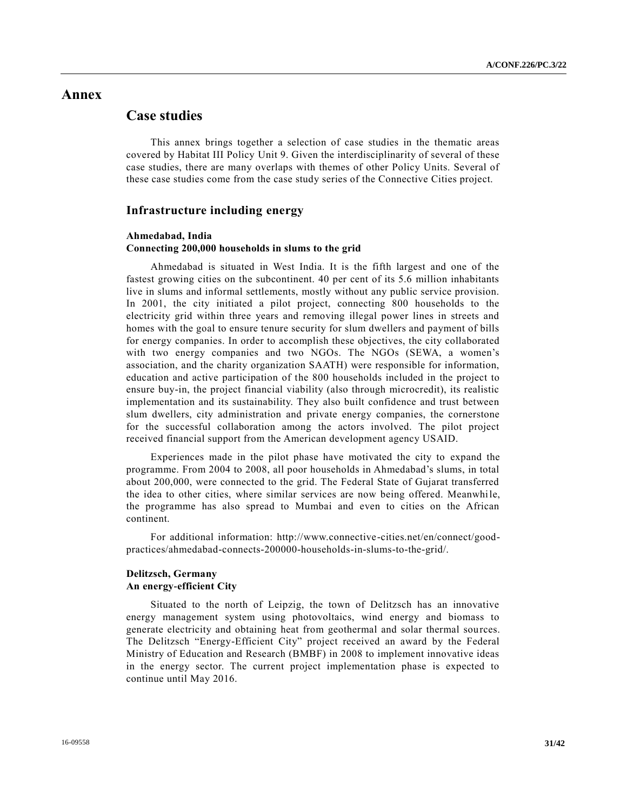# **Annex**

# **Case studies**

This annex brings together a selection of case studies in the thematic areas covered by Habitat III Policy Unit 9. Given the interdisciplinarity of several of these case studies, there are many overlaps with themes of other Policy Units. Several of these case studies come from the case study series of the Connective Cities project.

#### **Infrastructure including energy**

## **Ahmedabad, India Connecting 200,000 households in slums to the grid**

Ahmedabad is situated in West India. It is the fifth largest and one of the fastest growing cities on the subcontinent. 40 per cent of its 5.6 million inhabitants live in slums and informal settlements, mostly without any public service provision. In 2001, the city initiated a pilot project, connecting 800 households to the electricity grid within three years and removing illegal power lines in streets and homes with the goal to ensure tenure security for slum dwellers and payment of bills for energy companies. In order to accomplish these objectives, the city collaborated with two energy companies and two NGOs. The NGOs (SEWA, a women's association, and the charity organization SAATH) were responsible for information, education and active participation of the 800 households included in the project to ensure buy-in, the project financial viability (also through microcredit), its realistic implementation and its sustainability. They also built confidence and trust between slum dwellers, city administration and private energy companies, the cornerstone for the successful collaboration among the actors involved. The pilot project received financial support from the American development agency USAID.

Experiences made in the pilot phase have motivated the city to expand the programme. From 2004 to 2008, all poor households in Ahmedabad's slums, in total about 200,000, were connected to the grid. The Federal State of Gujarat transferred the idea to other cities, where similar services are now being offered. Meanwhile, the programme has also spread to Mumbai and even to cities on the African continent.

For additional information: http://www.connective-cities.net/en/connect/goodpractices/ahmedabad-connects-200000-households-in-slums-to-the-grid/.

## **Delitzsch, Germany An energy-efficient City**

Situated to the north of Leipzig, the town of Delitzsch has an innovative energy management system using photovoltaics, wind energy and biomass to generate electricity and obtaining heat from geothermal and solar thermal sources. The Delitzsch "Energy-Efficient City" project received an award by the Federal Ministry of Education and Research (BMBF) in 2008 to implement innovative ideas in the energy sector. The current project implementation phase is expected to continue until May 2016.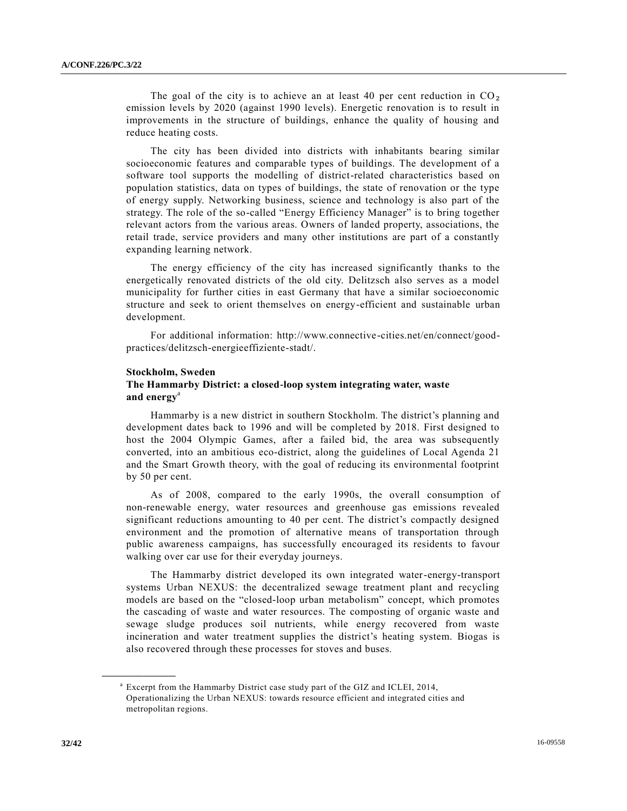The goal of the city is to achieve an at least 40 per cent reduction in  $CO<sub>2</sub>$ emission levels by 2020 (against 1990 levels). Energetic renovation is to result in improvements in the structure of buildings, enhance the quality of housing and reduce heating costs.

The city has been divided into districts with inhabitants bearing similar socioeconomic features and comparable types of buildings. The development of a software tool supports the modelling of district-related characteristics based on population statistics, data on types of buildings, the state of renovation or the type of energy supply. Networking business, science and technology is also part of the strategy. The role of the so-called "Energy Efficiency Manager" is to bring together relevant actors from the various areas. Owners of landed property, associations, the retail trade, service providers and many other institutions are part of a constantly expanding learning network.

The energy efficiency of the city has increased significantly thanks to the energetically renovated districts of the old city. Delitzsch also serves as a model municipality for further cities in east Germany that have a similar socioeconomic structure and seek to orient themselves on energy-efficient and sustainable urban development.

For additional information: http://www.connective-cities.net/en/connect/goodpractices/delitzsch-energieeffiziente-stadt/.

#### **Stockholm, Sweden**

### **The Hammarby District: a closed-loop system integrating water, waste and energy**<sup>a</sup>

Hammarby is a new district in southern Stockholm. The district's planning and development dates back to 1996 and will be completed by 2018. First designed to host the 2004 Olympic Games, after a failed bid, the area was subsequently converted, into an ambitious eco-district, along the guidelines of Local Agenda 21 and the Smart Growth theory, with the goal of reducing its environmental footprint by 50 per cent.

As of 2008, compared to the early 1990s, the overall consumption of non-renewable energy, water resources and greenhouse gas emissions revealed significant reductions amounting to 40 per cent. The district's compactly designed environment and the promotion of alternative means of transportation through public awareness campaigns, has successfully encouraged its residents to favour walking over car use for their everyday journeys.

The Hammarby district developed its own integrated water-energy-transport systems Urban NEXUS: the decentralized sewage treatment plant and recycling models are based on the "closed-loop urban metabolism" concept, which promotes the cascading of waste and water resources. The composting of organic waste and sewage sludge produces soil nutrients, while energy recovered from waste incineration and water treatment supplies the district's heating system. Biogas is also recovered through these processes for stoves and buses.

**\_\_\_\_\_\_\_\_\_\_\_\_\_\_\_\_\_\_**

<sup>&</sup>lt;sup>a</sup> Excerpt from the Hammarby District case study part of the GIZ and ICLEI, 2014, Operationalizing the Urban NEXUS: towards resource efficient and integrated cities and metropolitan regions.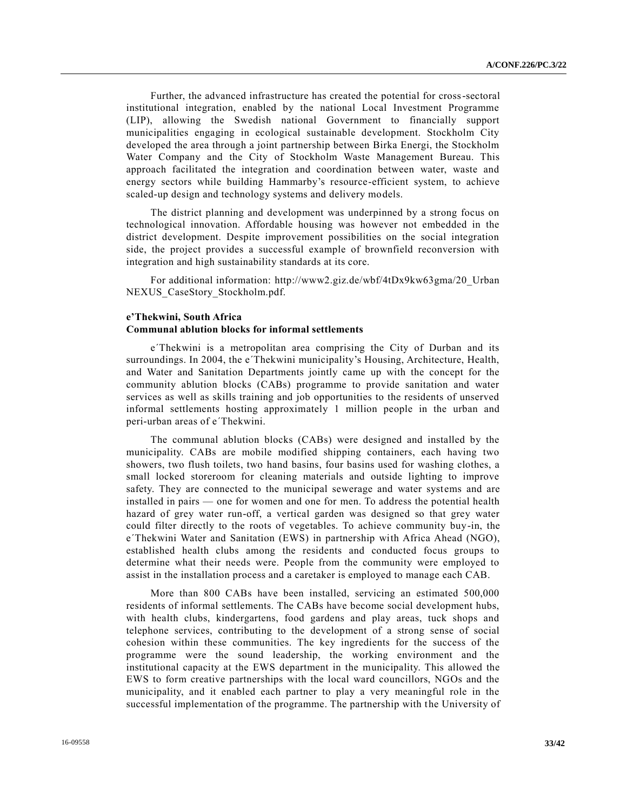Further, the advanced infrastructure has created the potential for cross-sectoral institutional integration, enabled by the national Local Investment Programme (LIP), allowing the Swedish national Government to financially support municipalities engaging in ecological sustainable development. Stockholm City developed the area through a joint partnership between Birka Energi, the Stockholm Water Company and the City of Stockholm Waste Management Bureau. This approach facilitated the integration and coordination between water, waste and energy sectors while building Hammarby's resource-efficient system, to achieve scaled-up design and technology systems and delivery models.

The district planning and development was underpinned by a strong focus on technological innovation. Affordable housing was however not embedded in the district development. Despite improvement possibilities on the social integration side, the project provides a successful example of brownfield reconversion with integration and high sustainability standards at its core.

For additional information: http://www2.giz.de/wbf/4tDx9kw63gma/20\_Urban NEXUS CaseStory Stockholm.pdf.

## **e'Thekwini, South Africa Communal ablution blocks for informal settlements**

e´Thekwini is a metropolitan area comprising the City of Durban and its surroundings. In 2004, the e´Thekwini municipality's Housing, Architecture, Health, and Water and Sanitation Departments jointly came up with the concept for the community ablution blocks (CABs) programme to provide sanitation and water services as well as skills training and job opportunities to the residents of unserved informal settlements hosting approximately 1 million people in the urban and peri-urban areas of e´Thekwini.

The communal ablution blocks (CABs) were designed and installed by the municipality. CABs are mobile modified shipping containers, each having two showers, two flush toilets, two hand basins, four basins used for washing clothes, a small locked storeroom for cleaning materials and outside lighting to improve safety. They are connected to the municipal sewerage and water systems and are installed in pairs — one for women and one for men. To address the potential health hazard of grey water run-off, a vertical garden was designed so that grey water could filter directly to the roots of vegetables. To achieve community buy-in, the e´Thekwini Water and Sanitation (EWS) in partnership with Africa Ahead (NGO), established health clubs among the residents and conducted focus groups to determine what their needs were. People from the community were employed to assist in the installation process and a caretaker is employed to manage each CAB.

More than 800 CABs have been installed, servicing an estimated 500,000 residents of informal settlements. The CABs have become social development hubs, with health clubs, kindergartens, food gardens and play areas, tuck shops and telephone services, contributing to the development of a strong sense of social cohesion within these communities. The key ingredients for the success of the programme were the sound leadership, the working environment and the institutional capacity at the EWS department in the municipality. This allowed the EWS to form creative partnerships with the local ward councillors, NGOs and the municipality, and it enabled each partner to play a very meaningful role in the successful implementation of the programme. The partnership with the University of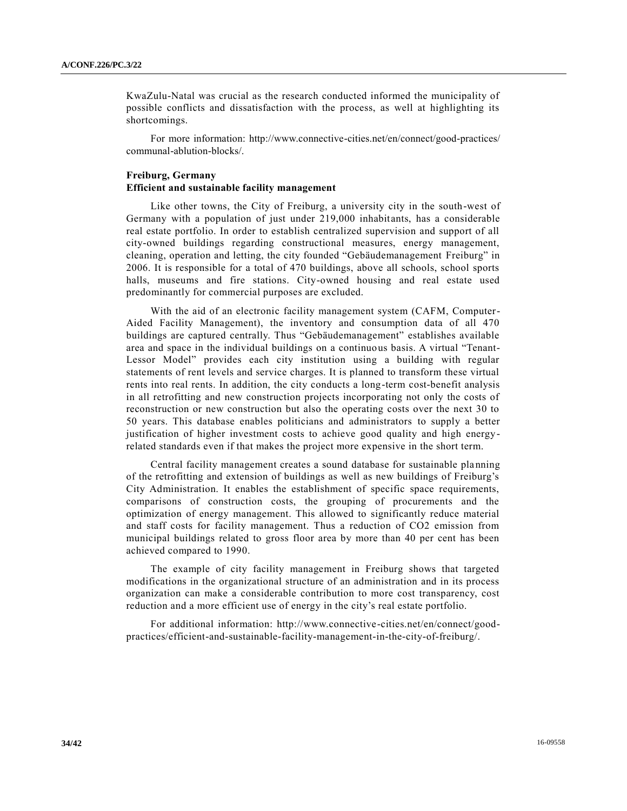KwaZulu-Natal was crucial as the research conducted informed the municipality of possible conflicts and dissatisfaction with the process, as well at highlighting its shortcomings.

For more information: http://www.connective-cities.net/en/connect/good-practices/ communal-ablution-blocks/.

## **Freiburg, Germany Efficient and sustainable facility management**

Like other towns, the City of Freiburg, a university city in the south-west of Germany with a population of just under 219,000 inhabitants, has a considerable real estate portfolio. In order to establish centralized supervision and support of all city-owned buildings regarding constructional measures, energy management, cleaning, operation and letting, the city founded "Gebäudemanagement Freiburg" in 2006. It is responsible for a total of 470 buildings, above all schools, school sports halls, museums and fire stations. City-owned housing and real estate used predominantly for commercial purposes are excluded.

With the aid of an electronic facility management system (CAFM, Computer-Aided Facility Management), the inventory and consumption data of all 470 buildings are captured centrally. Thus "Gebäudemanagement" establishes available area and space in the individual buildings on a continuous basis. A virtual "Tenant-Lessor Model" provides each city institution using a building with regular statements of rent levels and service charges. It is planned to transform these virtual rents into real rents. In addition, the city conducts a long-term cost-benefit analysis in all retrofitting and new construction projects incorporating not only the costs of reconstruction or new construction but also the operating costs over the next 30 to 50 years. This database enables politicians and administrators to supply a better justification of higher investment costs to achieve good quality and high energyrelated standards even if that makes the project more expensive in the short term.

Central facility management creates a sound database for sustainable planning of the retrofitting and extension of buildings as well as new buildings of Freiburg's City Administration. It enables the establishment of specific space requirements, comparisons of construction costs, the grouping of procurements and the optimization of energy management. This allowed to significantly reduce material and staff costs for facility management. Thus a reduction of CO2 emission from municipal buildings related to gross floor area by more than 40 per cent has been achieved compared to 1990.

The example of city facility management in Freiburg shows that targeted modifications in the organizational structure of an administration and in its process organization can make a considerable contribution to more cost transparency, cost reduction and a more efficient use of energy in the city's real estate portfolio.

For additional information: http://www.connective-cities.net/en/connect/goodpractices/efficient-and-sustainable-facility-management-in-the-city-of-freiburg/.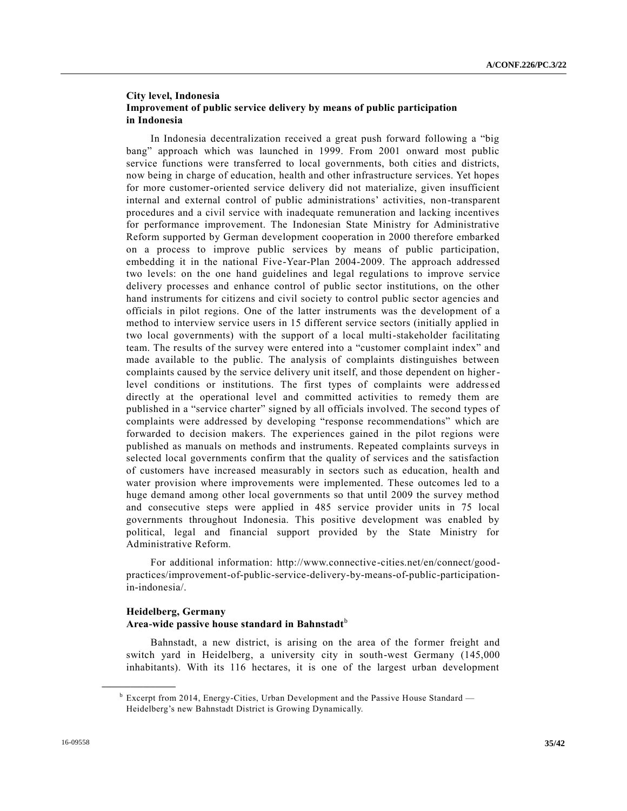## **City level, Indonesia Improvement of public service delivery by means of public participation in Indonesia**

In Indonesia decentralization received a great push forward following a "big bang" approach which was launched in 1999. From 2001 onward most public service functions were transferred to local governments, both cities and districts, now being in charge of education, health and other infrastructure services. Yet hopes for more customer-oriented service delivery did not materialize, given insufficient internal and external control of public administrations' activities, non-transparent procedures and a civil service with inadequate remuneration and lacking incentives for performance improvement. The Indonesian State Ministry for Administrative Reform supported by German development cooperation in 2000 therefore embarked on a process to improve public services by means of public participation, embedding it in the national Five-Year-Plan 2004-2009. The approach addressed two levels: on the one hand guidelines and legal regulations to improve service delivery processes and enhance control of public sector institutions, on the other hand instruments for citizens and civil society to control public sector agencies and officials in pilot regions. One of the latter instruments was the development of a method to interview service users in 15 different service sectors (initially applied in two local governments) with the support of a local multi-stakeholder facilitating team. The results of the survey were entered into a "customer complaint index" and made available to the public. The analysis of complaints distinguishes between complaints caused by the service delivery unit itself, and those dependent on higherlevel conditions or institutions. The first types of complaints were address ed directly at the operational level and committed activities to remedy them are published in a "service charter" signed by all officials involved. The second types of complaints were addressed by developing "response recommendations" which are forwarded to decision makers. The experiences gained in the pilot regions were published as manuals on methods and instruments. Repeated complaints surveys in selected local governments confirm that the quality of services and the satisfaction of customers have increased measurably in sectors such as education, health and water provision where improvements were implemented. These outcomes led to a huge demand among other local governments so that until 2009 the survey method and consecutive steps were applied in 485 service provider units in 75 local governments throughout Indonesia. This positive development was enabled by political, legal and financial support provided by the State Ministry for Administrative Reform.

For additional information: http://www.connective-cities.net/en/connect/goodpractices/improvement-of-public-service-delivery-by-means-of-public-participationin-indonesia/.

## **Heidelberg, Germany Area-wide passive house standard in Bahnstadt**<sup>b</sup>

Bahnstadt, a new district, is arising on the area of the former freight and switch yard in Heidelberg, a university city in south-west Germany (145,000 inhabitants). With its 116 hectares, it is one of the largest urban development

**\_\_\_\_\_\_\_\_\_\_\_\_\_\_\_\_\_\_**

 $b<sup>b</sup>$  Excerpt from 2014, Energy-Cities, Urban Development and the Passive House Standard — Heidelberg's new Bahnstadt District is Growing Dynamically.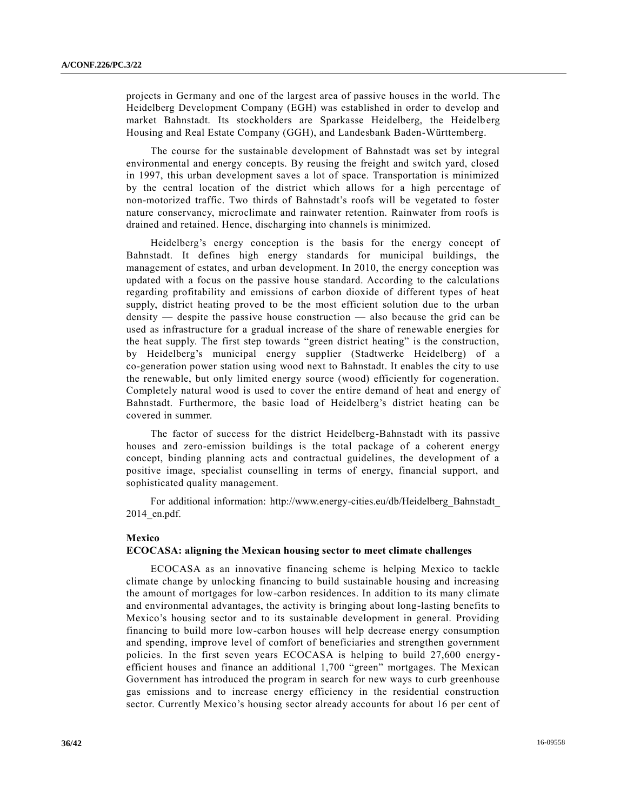projects in Germany and one of the largest area of passive houses in the world. The Heidelberg Development Company (EGH) was established in order to develop and market Bahnstadt. Its stockholders are Sparkasse Heidelberg, the Heidelb erg Housing and Real Estate Company (GGH), and Landesbank Baden-Württemberg.

The course for the sustainable development of Bahnstadt was set by integral environmental and energy concepts. By reusing the freight and switch yard, closed in 1997, this urban development saves a lot of space. Transportation is minimized by the central location of the district which allows for a high percentage of non-motorized traffic. Two thirds of Bahnstadt's roofs will be vegetated to foster nature conservancy, microclimate and rainwater retention. Rainwater from roofs is drained and retained. Hence, discharging into channels is minimized.

Heidelberg's energy conception is the basis for the energy concept of Bahnstadt. It defines high energy standards for municipal buildings, the management of estates, and urban development. In 2010, the energy conception was updated with a focus on the passive house standard. According to the calculations regarding profitability and emissions of carbon dioxide of different types of heat supply, district heating proved to be the most efficient solution due to the urban density — despite the passive house construction — also because the grid can be used as infrastructure for a gradual increase of the share of renewable energies for the heat supply. The first step towards "green district heating" is the construction, by Heidelberg's municipal energy supplier (Stadtwerke Heidelberg) of a co-generation power station using wood next to Bahnstadt. It enables the city to use the renewable, but only limited energy source (wood) efficiently for cogeneration. Completely natural wood is used to cover the entire demand of heat and energy of Bahnstadt. Furthermore, the basic load of Heidelberg's district heating can be covered in summer.

The factor of success for the district Heidelberg-Bahnstadt with its passive houses and zero-emission buildings is the total package of a coherent energy concept, binding planning acts and contractual guidelines, the development of a positive image, specialist counselling in terms of energy, financial support, and sophisticated quality management.

For additional information: http://www.energy-cities.eu/db/Heidelberg\_Bahnstadt\_ 2014\_en.pdf.

#### **Mexico**

#### **ECOCASA: aligning the Mexican housing sector to meet climate challenges**

ECOCASA as an innovative financing scheme is helping Mexico to tackle climate change by unlocking financing to build sustainable housing and increasing the amount of mortgages for low-carbon residences. In addition to its many climate and environmental advantages, the activity is bringing about long-lasting benefits to Mexico's housing sector and to its sustainable development in general. Providing financing to build more low-carbon houses will help decrease energy consumption and spending, improve level of comfort of beneficiaries and strengthen government policies. In the first seven years ECOCASA is helping to build 27,600 energyefficient houses and finance an additional 1,700 "green" mortgages. The Mexican Government has introduced the program in search for new ways to curb greenhouse gas emissions and to increase energy efficiency in the residential construction sector. Currently Mexico's housing sector already accounts for about 16 per cent of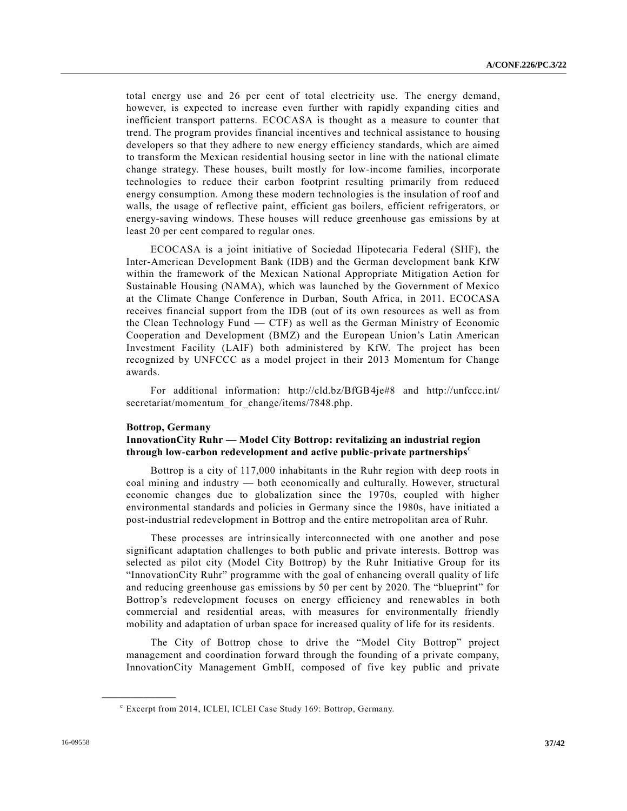total energy use and 26 per cent of total electricity use. The energy demand, however, is expected to increase even further with rapidly expanding cities and inefficient transport patterns. ECOCASA is thought as a measure to counter that trend. The program provides financial incentives and technical assistance to housing developers so that they adhere to new energy efficiency standards, which are aimed to transform the Mexican residential housing sector in line with the national climate change strategy. These houses, built mostly for low-income families, incorporate technologies to reduce their carbon footprint resulting primarily from reduced energy consumption. Among these modern technologies is the insulation of roof and walls, the usage of reflective paint, efficient gas boilers, efficient refrigerators, or energy-saving windows. These houses will reduce greenhouse gas emissions by at least 20 per cent compared to regular ones.

ECOCASA is a joint initiative of Sociedad Hipotecaria Federal (SHF), the Inter-American Development Bank (IDB) and the German development bank KfW within the framework of the Mexican National Appropriate Mitigation Action for Sustainable Housing (NAMA), which was launched by the Government of Mexico at the Climate Change Conference in Durban, South Africa, in 2011. ECOCASA receives financial support from the IDB (out of its own resources as well as from the Clean Technology Fund  $-$  CTF) as well as the German Ministry of Economic Cooperation and Development (BMZ) and the European Union's Latin American Investment Facility (LAIF) both administered by KfW. The project has been recognized by UNFCCC as a model project in their 2013 Momentum for Change awards.

For additional information: http://cld.bz/BfGB4je#8 and http://unfccc.int/ secretariat/momentum\_for\_change/items/7848.php.

#### **Bottrop, Germany**

## **InnovationCity Ruhr — Model City Bottrop: revitalizing an industrial region**  through low-carbon redevelopment and active public-private partnerships<sup>c</sup>

Bottrop is a city of 117,000 inhabitants in the Ruhr region with deep roots in coal mining and industry — both economically and culturally. However, structural economic changes due to globalization since the 1970s, coupled with higher environmental standards and policies in Germany since the 1980s, have initiated a post-industrial redevelopment in Bottrop and the entire metropolitan area of Ruhr.

These processes are intrinsically interconnected with one another and pose significant adaptation challenges to both public and private interests. Bottrop was selected as pilot city (Model City Bottrop) by the Ruhr Initiative Group for its "InnovationCity Ruhr" programme with the goal of enhancing overall quality of life and reducing greenhouse gas emissions by 50 per cent by 2020. The "blueprint" for Bottrop's redevelopment focuses on energy efficiency and renewables in both commercial and residential areas, with measures for environmentally friendly mobility and adaptation of urban space for increased quality of life for its residents.

The City of Bottrop chose to drive the "Model City Bottrop" project management and coordination forward through the founding of a private company, InnovationCity Management GmbH, composed of five key public and private

**\_\_\_\_\_\_\_\_\_\_\_\_\_\_\_\_\_\_**

c Excerpt from 2014, ICLEI, ICLEI Case Study 169: Bottrop, Germany.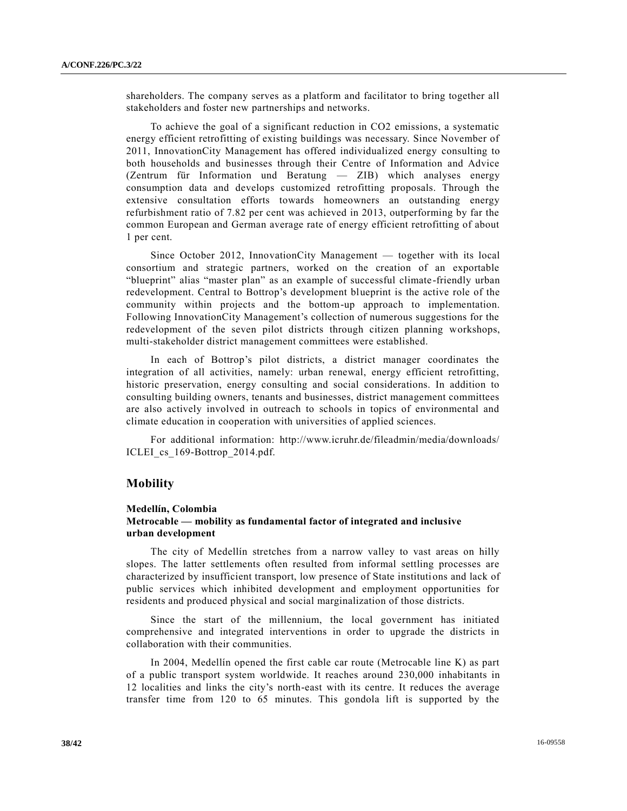shareholders. The company serves as a platform and facilitator to bring together all stakeholders and foster new partnerships and networks.

To achieve the goal of a significant reduction in CO2 emissions, a systematic energy efficient retrofitting of existing buildings was necessary. Since November of 2011, InnovationCity Management has offered individualized energy consulting to both households and businesses through their Centre of Information and Advice (Zentrum für Information und Beratung — ZIB) which analyses energy consumption data and develops customized retrofitting proposals. Through the extensive consultation efforts towards homeowners an outstanding energy refurbishment ratio of 7.82 per cent was achieved in 2013, outperforming by far the common European and German average rate of energy efficient retrofitting of about 1 per cent.

Since October 2012, InnovationCity Management — together with its local consortium and strategic partners, worked on the creation of an exportable "blueprint" alias "master plan" as an example of successful climate -friendly urban redevelopment. Central to Bottrop's development blueprint is the active role of the community within projects and the bottom-up approach to implementation. Following InnovationCity Management's collection of numerous suggestions for the redevelopment of the seven pilot districts through citizen planning workshops, multi-stakeholder district management committees were established.

In each of Bottrop's pilot districts, a district manager coordinates the integration of all activities, namely: urban renewal, energy efficient retrofitting, historic preservation, energy consulting and social considerations. In addition to consulting building owners, tenants and businesses, district management committees are also actively involved in outreach to schools in topics of environmental and climate education in cooperation with universities of applied sciences.

For additional information: http://www.icruhr.de/fileadmin/media/downloads/ ICLEI\_cs\_169-Bottrop\_2014.pdf.

## **Mobility**

#### **Medellín, Colombia**

## **Metrocable — mobility as fundamental factor of integrated and inclusive urban development**

The city of Medellín stretches from a narrow valley to vast areas on hilly slopes. The latter settlements often resulted from informal settling processes are characterized by insufficient transport, low presence of State institutions and lack of public services which inhibited development and employment opportunities for residents and produced physical and social marginalization of those districts.

Since the start of the millennium, the local government has initiated comprehensive and integrated interventions in order to upgrade the districts in collaboration with their communities.

In 2004, Medellín opened the first cable car route (Metrocable line K) as part of a public transport system worldwide. It reaches around 230,000 inhabitants in 12 localities and links the city's north-east with its centre. It reduces the average transfer time from 120 to 65 minutes. This gondola lift is supported by the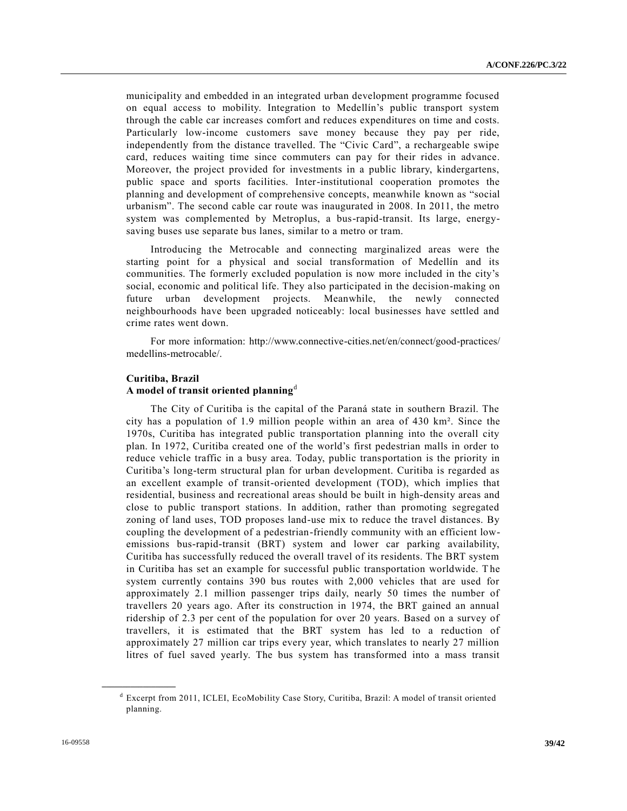municipality and embedded in an integrated urban development programme focused on equal access to mobility. Integration to Medellín's public transport system through the cable car increases comfort and reduces expenditures on time and costs. Particularly low-income customers save money because they pay per ride, independently from the distance travelled. The "Civic Card", a rechargeable swipe card, reduces waiting time since commuters can pay for their rides in advance. Moreover, the project provided for investments in a public library, kindergartens, public space and sports facilities. Inter-institutional cooperation promotes the planning and development of comprehensive concepts, meanwhile known as "social urbanism". The second cable car route was inaugurated in 2008. In 2011, the metro system was complemented by Metroplus, a bus-rapid-transit. Its large, energysaving buses use separate bus lanes, similar to a metro or tram.

Introducing the Metrocable and connecting marginalized areas were the starting point for a physical and social transformation of Medellín and its communities. The formerly excluded population is now more included in the city's social, economic and political life. They also participated in the decision-making on future urban development projects. Meanwhile, the newly connected neighbourhoods have been upgraded noticeably: local businesses have settled and crime rates went down.

For more information: http://www.connective-cities.net/en/connect/good-practices/ medellins-metrocable/.

### **Curitiba, Brazil**

#### **A model of transit oriented planning**<sup>d</sup>

The City of Curitiba is the capital of the Paraná state in southern Brazil. The city has a population of 1.9 million people within an area of 430 km². Since the 1970s, Curitiba has integrated public transportation planning into the overall city plan. In 1972, Curitiba created one of the world's first pedestrian malls in order to reduce vehicle traffic in a busy area. Today, public transportation is the priority in Curitiba's long-term structural plan for urban development. Curitiba is regarded as an excellent example of transit-oriented development (TOD), which implies that residential, business and recreational areas should be built in high-density areas and close to public transport stations. In addition, rather than promoting segregated zoning of land uses, TOD proposes land-use mix to reduce the travel distances. By coupling the development of a pedestrian-friendly community with an efficient lowemissions bus-rapid-transit (BRT) system and lower car parking availability, Curitiba has successfully reduced the overall travel of its residents. The BRT system in Curitiba has set an example for successful public transportation worldwide. The system currently contains 390 bus routes with 2,000 vehicles that are used for approximately 2.1 million passenger trips daily, nearly 50 times the number of travellers 20 years ago. After its construction in 1974, the BRT gained an annual ridership of 2.3 per cent of the population for over 20 years. Based on a survey of travellers, it is estimated that the BRT system has led to a reduction of approximately 27 million car trips every year, which translates to nearly 27 million litres of fuel saved yearly. The bus system has transformed into a mass transit

**\_\_\_\_\_\_\_\_\_\_\_\_\_\_\_\_\_\_**

<sup>&</sup>lt;sup>d</sup> Excerpt from 2011, ICLEI, EcoMobility Case Story, Curitiba, Brazil: A model of transit oriented planning.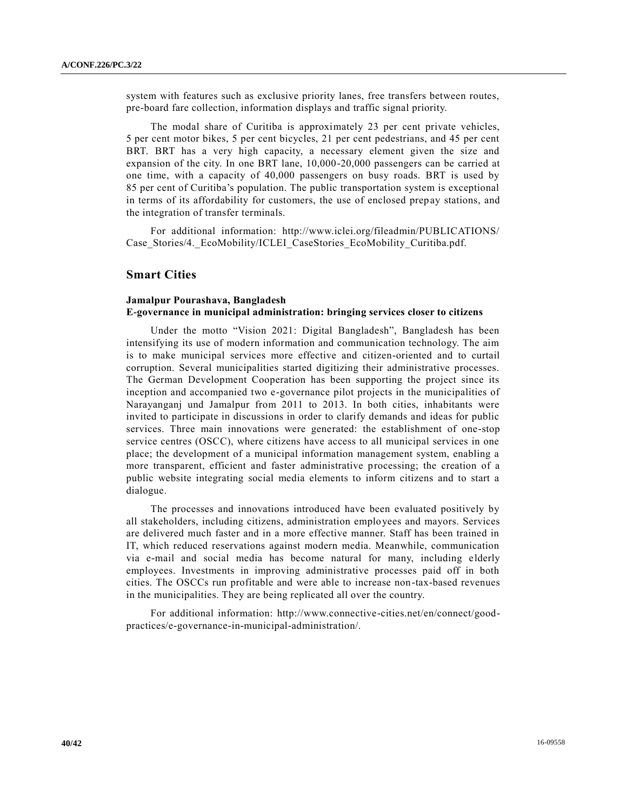system with features such as exclusive priority lanes, free transfers between routes, pre-board fare collection, information displays and traffic signal priority.

The modal share of Curitiba is approximately 23 per cent private vehicles, 5 per cent motor bikes, 5 per cent bicycles, 21 per cent pedestrians, and 45 per cent BRT. BRT has a very high capacity, a necessary element given the size and expansion of the city. In one BRT lane, 10,000-20,000 passengers can be carried at one time, with a capacity of 40,000 passengers on busy roads. BRT is used by 85 per cent of Curitiba's population. The public transportation system is exceptional in terms of its affordability for customers, the use of enclosed prepay stations, and the integration of transfer terminals.

For additional information: http://www.iclei.org/fileadmin/PUBLICATIONS/ Case Stories/4. EcoMobility/ICLEI CaseStories EcoMobility Curitiba.pdf.

## **Smart Cities**

## **Jamalpur Pourashava, Bangladesh E-governance in municipal administration: bringing services closer to citizens**

Under the motto "Vision 2021: Digital Bangladesh", Bangladesh has been intensifying its use of modern information and communication technology. The aim is to make municipal services more effective and citizen-oriented and to curtail corruption. Several municipalities started digitizing their administrative processes. The German Development Cooperation has been supporting the project since its inception and accompanied two e-governance pilot projects in the municipalities of Narayanganj und Jamalpur from 2011 to 2013. In both cities, inhabitants were invited to participate in discussions in order to clarify demands and ideas for public services. Three main innovations were generated: the establishment of one-stop service centres (OSCC), where citizens have access to all municipal services in one place; the development of a municipal information management system, enabling a more transparent, efficient and faster administrative processing; the creation of a public website integrating social media elements to inform citizens and to start a dialogue.

The processes and innovations introduced have been evaluated positively by all stakeholders, including citizens, administration employees and mayors. Services are delivered much faster and in a more effective manner. Staff has been trained in IT, which reduced reservations against modern media. Meanwhile, communication via e-mail and social media has become natural for many, including elderly employees. Investments in improving administrative processes paid off in both cities. The OSCCs run profitable and were able to increase non-tax-based revenues in the municipalities. They are being replicated all over the country.

For additional information: http://www.connective-cities.net/en/connect/goodpractices/e-governance-in-municipal-administration/.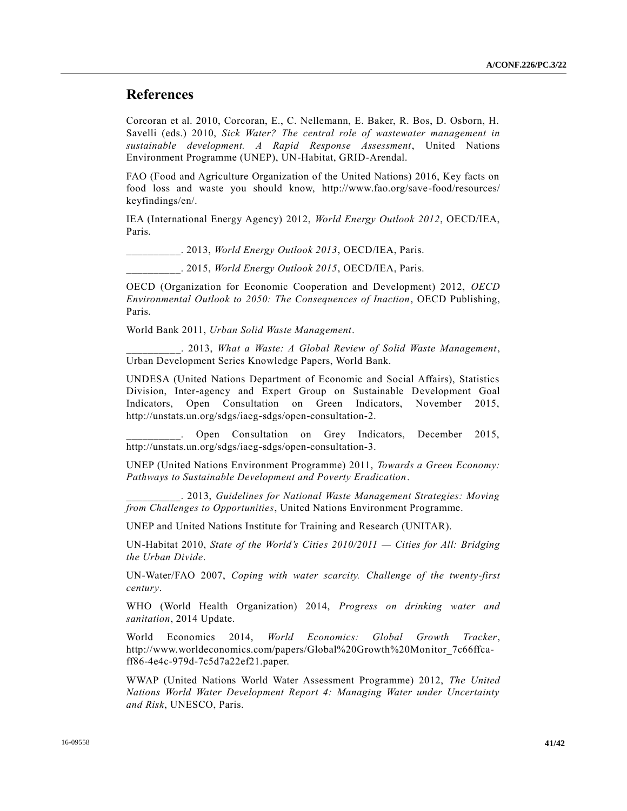# **References**

Corcoran et al. 2010, Corcoran, E., C. Nellemann, E. Baker, R. Bos, D. Osborn, H. Savelli (eds.) 2010, *Sick Water? The central role of wastewater management in sustainable development. A Rapid Response Assessment*, United Nations Environment Programme (UNEP), UN-Habitat, GRID-Arendal.

FAO (Food and Agriculture Organization of the United Nations) 2016, Key facts on food loss and waste you should know, http://www.fao.org/save-food/resources/ keyfindings/en/.

IEA (International Energy Agency) 2012, *World Energy Outlook 2012*, OECD/IEA, Paris.

\_\_\_\_\_\_\_\_\_\_. 2013, *World Energy Outlook 2013*, OECD/IEA, Paris.

\_\_\_\_\_\_\_\_\_\_. 2015, *World Energy Outlook 2015*, OECD/IEA, Paris.

OECD (Organization for Economic Cooperation and Development) 2012, *OECD Environmental Outlook to 2050: The Consequences of Inaction*, OECD Publishing, Paris.

World Bank 2011, *Urban Solid Waste Management*.

\_\_\_\_\_\_\_\_\_\_. 2013, *What a Waste: A Global Review of Solid Waste Management*, Urban Development Series Knowledge Papers, World Bank.

UNDESA (United Nations Department of Economic and Social Affairs), Statistics Division, Inter-agency and Expert Group on Sustainable Development Goal Indicators, Open Consultation on Green Indicators, November 2015, http://unstats.un.org/sdgs/iaeg-sdgs/open-consultation-2.

Open Consultation on Grey Indicators, December 2015, http://unstats.un.org/sdgs/iaeg-sdgs/open-consultation-3.

UNEP (United Nations Environment Programme) 2011, *Towards a Green Economy: Pathways to Sustainable Development and Poverty Eradication*.

\_\_\_\_\_\_\_\_\_\_. 2013, *Guidelines for National Waste Management Strategies: Moving from Challenges to Opportunities*, United Nations Environment Programme.

UNEP and United Nations Institute for Training and Research (UNITAR).

UN-Habitat 2010, *State of the World's Cities 2010/2011 — Cities for All: Bridging the Urban Divide*.

UN-Water/FAO 2007, *Coping with water scarcity. Challenge of the twenty-first century*.

WHO (World Health Organization) 2014, *Progress on drinking water and sanitation*, 2014 Update.

World Economics 2014, *World Economics: Global Growth Tracker*, http://www.worldeconomics.com/papers/Global%20Growth%20Monitor\_7c66ffcaff86-4e4c-979d-7c5d7a22ef21.paper.

WWAP (United Nations World Water Assessment Programme) 2012, *The United Nations World Water Development Report 4: Managing Water under Uncertainty and Risk*, UNESCO, Paris.